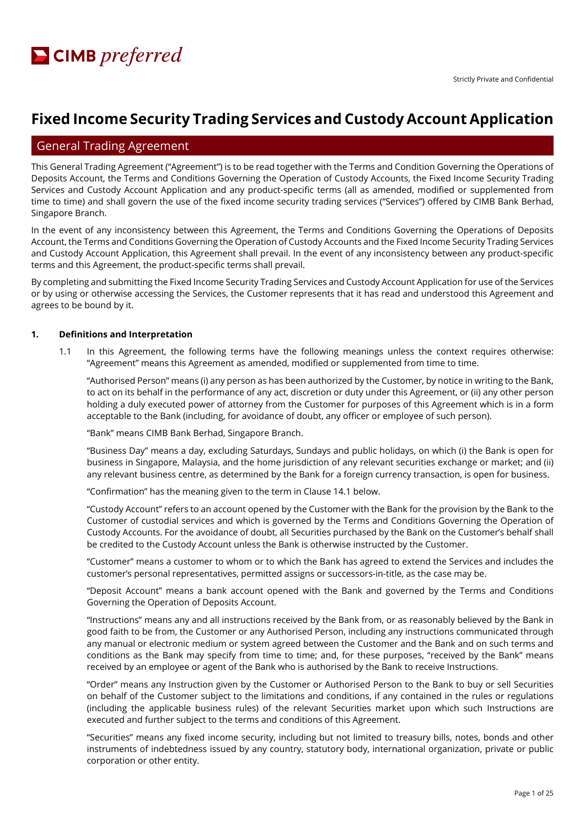# **Fixed Income Security Trading Services and Custody Account Application**

# General Trading Agreement

This General Trading Agreement ("Agreement") is to be read together with the Terms and Condition Governing the Operations of Deposits Account, the Terms and Conditions Governing the Operation of Custody Accounts, the Fixed Income Security Trading Services and Custody Account Application and any product-specific terms (all as amended, modified or supplemented from time to time) and shall govern the use of the fixed income security trading services ("Services") offered by CIMB Bank Berhad, Singapore Branch.

In the event of any inconsistency between this Agreement, the Terms and Conditions Governing the Operations of Deposits Account, the Terms and Conditions Governing the Operation of Custody Accounts and the Fixed Income Security Trading Services and Custody Account Application, this Agreement shall prevail. In the event of any inconsistency between any product-specific terms and this Agreement, the product-specific terms shall prevail.

By completing and submitting the Fixed Income Security Trading Services and Custody Account Application for use of the Services or by using or otherwise accessing the Services, the Customer represents that it has read and understood this Agreement and agrees to be bound by it.

#### **1. Definitions and Interpretation**

1.1 In this Agreement, the following terms have the following meanings unless the context requires otherwise: "Agreement" means this Agreement as amended, modified or supplemented from time to time.

"Authorised Person" means (i) any person as has been authorized by the Customer, by notice in writing to the Bank, to act on its behalf in the performance of any act, discretion or duty under this Agreement, or (ii) any other person holding a duly executed power of attorney from the Customer for purposes of this Agreement which is in a form acceptable to the Bank (including, for avoidance of doubt, any officer or employee of such person).

"Bank" means CIMB Bank Berhad, Singapore Branch.

"Business Day" means a day, excluding Saturdays, Sundays and public holidays, on which (i) the Bank is open for business in Singapore, Malaysia, and the home jurisdiction of any relevant securities exchange or market; and (ii) any relevant business centre, as determined by the Bank for a foreign currency transaction, is open for business.

"Confirmation" has the meaning given to the term in Clause 14.1 below.

"Custody Account" refers to an account opened by the Customer with the Bank for the provision by the Bank to the Customer of custodial services and which is governed by the Terms and Conditions Governing the Operation of Custody Accounts. For the avoidance of doubt, all Securities purchased by the Bank on the Customer's behalf shall be credited to the Custody Account unless the Bank is otherwise instructed by the Customer.

"Customer" means a customer to whom or to which the Bank has agreed to extend the Services and includes the customer's personal representatives, permitted assigns or successors-in-title, as the case may be.

"Deposit Account" means a bank account opened with the Bank and governed by the Terms and Conditions Governing the Operation of Deposits Account.

"Instructions" means any and all instructions received by the Bank from, or as reasonably believed by the Bank in good faith to be from, the Customer or any Authorised Person, including any instructions communicated through any manual or electronic medium or system agreed between the Customer and the Bank and on such terms and conditions as the Bank may specify from time to time; and, for these purposes, "received by the Bank" means received by an employee or agent of the Bank who is authorised by the Bank to receive Instructions.

"Order" means any Instruction given by the Customer or Authorised Person to the Bank to buy or sell Securities on behalf of the Customer subject to the limitations and conditions, if any contained in the rules or regulations (including the applicable business rules) of the relevant Securities market upon which such Instructions are executed and further subject to the terms and conditions of this Agreement.

"Securities" means any fixed income security, including but not limited to treasury bills, notes, bonds and other instruments of indebtedness issued by any country, statutory body, international organization, private or public corporation or other entity.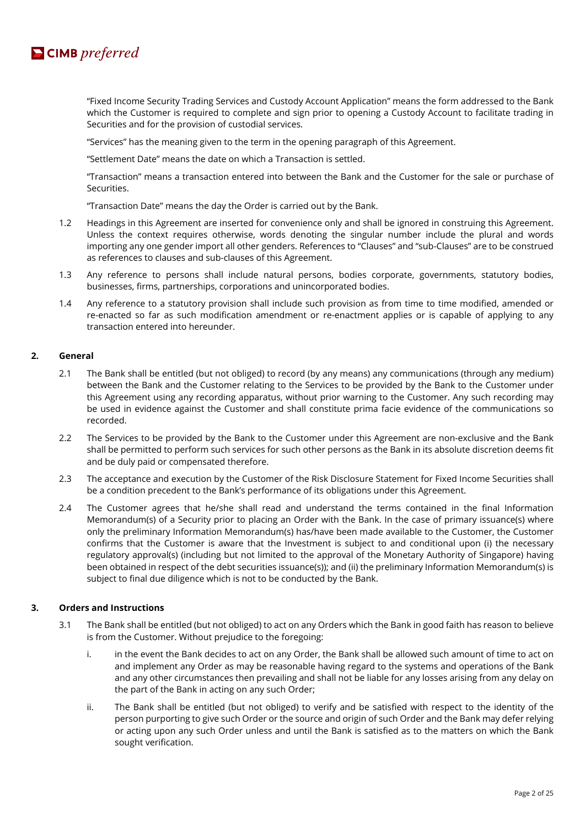

"Fixed Income Security Trading Services and Custody Account Application" means the form addressed to the Bank which the Customer is required to complete and sign prior to opening a Custody Account to facilitate trading in Securities and for the provision of custodial services.

"Services" has the meaning given to the term in the opening paragraph of this Agreement.

"Settlement Date" means the date on which a Transaction is settled.

"Transaction" means a transaction entered into between the Bank and the Customer for the sale or purchase of Securities.

"Transaction Date" means the day the Order is carried out by the Bank.

- 1.2 Headings in this Agreement are inserted for convenience only and shall be ignored in construing this Agreement. Unless the context requires otherwise, words denoting the singular number include the plural and words importing any one gender import all other genders. References to "Clauses" and "sub-Clauses" are to be construed as references to clauses and sub-clauses of this Agreement.
- 1.3 Any reference to persons shall include natural persons, bodies corporate, governments, statutory bodies, businesses, firms, partnerships, corporations and unincorporated bodies.
- 1.4 Any reference to a statutory provision shall include such provision as from time to time modified, amended or re-enacted so far as such modification amendment or re-enactment applies or is capable of applying to any transaction entered into hereunder.

#### **2. General**

- 2.1 The Bank shall be entitled (but not obliged) to record (by any means) any communications (through any medium) between the Bank and the Customer relating to the Services to be provided by the Bank to the Customer under this Agreement using any recording apparatus, without prior warning to the Customer. Any such recording may be used in evidence against the Customer and shall constitute prima facie evidence of the communications so recorded.
- 2.2 The Services to be provided by the Bank to the Customer under this Agreement are non-exclusive and the Bank shall be permitted to perform such services for such other persons as the Bank in its absolute discretion deems fit and be duly paid or compensated therefore.
- 2.3 The acceptance and execution by the Customer of the Risk Disclosure Statement for Fixed Income Securities shall be a condition precedent to the Bank's performance of its obligations under this Agreement.
- 2.4 The Customer agrees that he/she shall read and understand the terms contained in the final Information Memorandum(s) of a Security prior to placing an Order with the Bank. In the case of primary issuance(s) where only the preliminary Information Memorandum(s) has/have been made available to the Customer, the Customer confirms that the Customer is aware that the Investment is subject to and conditional upon (i) the necessary regulatory approval(s) (including but not limited to the approval of the Monetary Authority of Singapore) having been obtained in respect of the debt securities issuance(s)); and (ii) the preliminary Information Memorandum(s) is subject to final due diligence which is not to be conducted by the Bank.

# **3. Orders and Instructions**

- 3.1 The Bank shall be entitled (but not obliged) to act on any Orders which the Bank in good faith has reason to believe is from the Customer. Without prejudice to the foregoing:
	- i. in the event the Bank decides to act on any Order, the Bank shall be allowed such amount of time to act on and implement any Order as may be reasonable having regard to the systems and operations of the Bank and any other circumstances then prevailing and shall not be liable for any losses arising from any delay on the part of the Bank in acting on any such Order;
	- ii. The Bank shall be entitled (but not obliged) to verify and be satisfied with respect to the identity of the person purporting to give such Order or the source and origin of such Order and the Bank may defer relying or acting upon any such Order unless and until the Bank is satisfied as to the matters on which the Bank sought verification.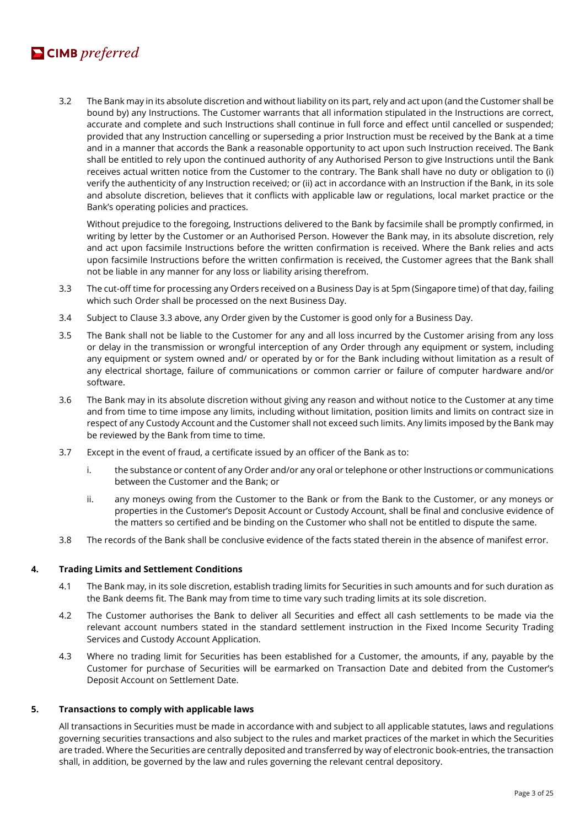# $\blacksquare$  CIMB preferred

3.2 The Bank may in its absolute discretion and without liability on its part, rely and act upon (and the Customer shall be bound by) any Instructions. The Customer warrants that all information stipulated in the Instructions are correct, accurate and complete and such Instructions shall continue in full force and effect until cancelled or suspended; provided that any Instruction cancelling or superseding a prior Instruction must be received by the Bank at a time and in a manner that accords the Bank a reasonable opportunity to act upon such Instruction received. The Bank shall be entitled to rely upon the continued authority of any Authorised Person to give Instructions until the Bank receives actual written notice from the Customer to the contrary. The Bank shall have no duty or obligation to (i) verify the authenticity of any Instruction received; or (ii) act in accordance with an Instruction if the Bank, in its sole and absolute discretion, believes that it conflicts with applicable law or regulations, local market practice or the Bank's operating policies and practices.

Without prejudice to the foregoing, Instructions delivered to the Bank by facsimile shall be promptly confirmed, in writing by letter by the Customer or an Authorised Person. However the Bank may, in its absolute discretion, rely and act upon facsimile Instructions before the written confirmation is received. Where the Bank relies and acts upon facsimile Instructions before the written confirmation is received, the Customer agrees that the Bank shall not be liable in any manner for any loss or liability arising therefrom.

- 3.3 The cut-off time for processing any Orders received on a Business Day is at 5pm (Singapore time) of that day, failing which such Order shall be processed on the next Business Day.
- 3.4 Subject to Clause 3.3 above, any Order given by the Customer is good only for a Business Day.
- 3.5 The Bank shall not be liable to the Customer for any and all loss incurred by the Customer arising from any loss or delay in the transmission or wrongful interception of any Order through any equipment or system, including any equipment or system owned and/ or operated by or for the Bank including without limitation as a result of any electrical shortage, failure of communications or common carrier or failure of computer hardware and/or software.
- 3.6 The Bank may in its absolute discretion without giving any reason and without notice to the Customer at any time and from time to time impose any limits, including without limitation, position limits and limits on contract size in respect of any Custody Account and the Customer shall not exceed such limits. Any limits imposed by the Bank may be reviewed by the Bank from time to time.
- 3.7 Except in the event of fraud, a certificate issued by an officer of the Bank as to:
	- i. the substance or content of any Order and/or any oral or telephone or other Instructions or communications between the Customer and the Bank; or
	- ii. any moneys owing from the Customer to the Bank or from the Bank to the Customer, or any moneys or properties in the Customer's Deposit Account or Custody Account, shall be final and conclusive evidence of the matters so certified and be binding on the Customer who shall not be entitled to dispute the same.
- 3.8 The records of the Bank shall be conclusive evidence of the facts stated therein in the absence of manifest error.

#### **4. Trading Limits and Settlement Conditions**

- 4.1 The Bank may, in its sole discretion, establish trading limits for Securities in such amounts and for such duration as the Bank deems fit. The Bank may from time to time vary such trading limits at its sole discretion.
- 4.2 The Customer authorises the Bank to deliver all Securities and effect all cash settlements to be made via the relevant account numbers stated in the standard settlement instruction in the Fixed Income Security Trading Services and Custody Account Application.
- 4.3 Where no trading limit for Securities has been established for a Customer, the amounts, if any, payable by the Customer for purchase of Securities will be earmarked on Transaction Date and debited from the Customer's Deposit Account on Settlement Date.

#### **5. Transactions to comply with applicable laws**

All transactions in Securities must be made in accordance with and subject to all applicable statutes, laws and regulations governing securities transactions and also subject to the rules and market practices of the market in which the Securities are traded. Where the Securities are centrally deposited and transferred by way of electronic book-entries, the transaction shall, in addition, be governed by the law and rules governing the relevant central depository.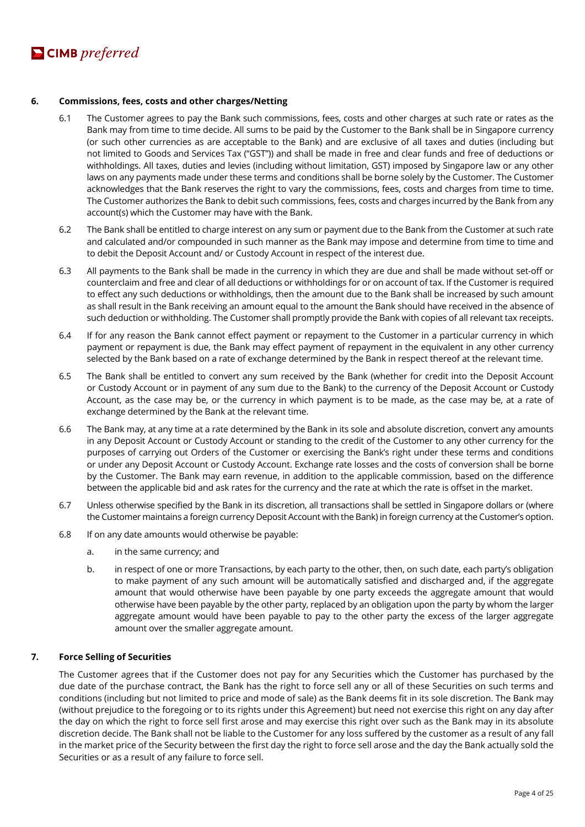# **6. Commissions, fees, costs and other charges/Netting**

- 6.1 The Customer agrees to pay the Bank such commissions, fees, costs and other charges at such rate or rates as the Bank may from time to time decide. All sums to be paid by the Customer to the Bank shall be in Singapore currency (or such other currencies as are acceptable to the Bank) and are exclusive of all taxes and duties (including but not limited to Goods and Services Tax ("GST")) and shall be made in free and clear funds and free of deductions or withholdings. All taxes, duties and levies (including without limitation, GST) imposed by Singapore law or any other laws on any payments made under these terms and conditions shall be borne solely by the Customer. The Customer acknowledges that the Bank reserves the right to vary the commissions, fees, costs and charges from time to time. The Customer authorizes the Bank to debit such commissions, fees, costs and charges incurred by the Bank from any account(s) which the Customer may have with the Bank.
- 6.2 The Bank shall be entitled to charge interest on any sum or payment due to the Bank from the Customer at such rate and calculated and/or compounded in such manner as the Bank may impose and determine from time to time and to debit the Deposit Account and/ or Custody Account in respect of the interest due.
- 6.3 All payments to the Bank shall be made in the currency in which they are due and shall be made without set-off or counterclaim and free and clear of all deductions or withholdings for or on account of tax. If the Customer is required to effect any such deductions or withholdings, then the amount due to the Bank shall be increased by such amount as shall result in the Bank receiving an amount equal to the amount the Bank should have received in the absence of such deduction or withholding. The Customer shall promptly provide the Bank with copies of all relevant tax receipts.
- 6.4 If for any reason the Bank cannot effect payment or repayment to the Customer in a particular currency in which payment or repayment is due, the Bank may effect payment of repayment in the equivalent in any other currency selected by the Bank based on a rate of exchange determined by the Bank in respect thereof at the relevant time.
- 6.5 The Bank shall be entitled to convert any sum received by the Bank (whether for credit into the Deposit Account or Custody Account or in payment of any sum due to the Bank) to the currency of the Deposit Account or Custody Account, as the case may be, or the currency in which payment is to be made, as the case may be, at a rate of exchange determined by the Bank at the relevant time.
- 6.6 The Bank may, at any time at a rate determined by the Bank in its sole and absolute discretion, convert any amounts in any Deposit Account or Custody Account or standing to the credit of the Customer to any other currency for the purposes of carrying out Orders of the Customer or exercising the Bank's right under these terms and conditions or under any Deposit Account or Custody Account. Exchange rate losses and the costs of conversion shall be borne by the Customer. The Bank may earn revenue, in addition to the applicable commission, based on the difference between the applicable bid and ask rates for the currency and the rate at which the rate is offset in the market.
- 6.7 Unless otherwise specified by the Bank in its discretion, all transactions shall be settled in Singapore dollars or (where the Customer maintains a foreign currency Deposit Account with the Bank) in foreign currency at the Customer's option.
- 6.8 If on any date amounts would otherwise be payable:
	- a. in the same currency; and
	- b. in respect of one or more Transactions, by each party to the other, then, on such date, each party's obligation to make payment of any such amount will be automatically satisfied and discharged and, if the aggregate amount that would otherwise have been payable by one party exceeds the aggregate amount that would otherwise have been payable by the other party, replaced by an obligation upon the party by whom the larger aggregate amount would have been payable to pay to the other party the excess of the larger aggregate amount over the smaller aggregate amount.

#### **7. Force Selling of Securities**

The Customer agrees that if the Customer does not pay for any Securities which the Customer has purchased by the due date of the purchase contract, the Bank has the right to force sell any or all of these Securities on such terms and conditions (including but not limited to price and mode of sale) as the Bank deems fit in its sole discretion. The Bank may (without prejudice to the foregoing or to its rights under this Agreement) but need not exercise this right on any day after the day on which the right to force sell first arose and may exercise this right over such as the Bank may in its absolute discretion decide. The Bank shall not be liable to the Customer for any loss suffered by the customer as a result of any fall in the market price of the Security between the first day the right to force sell arose and the day the Bank actually sold the Securities or as a result of any failure to force sell.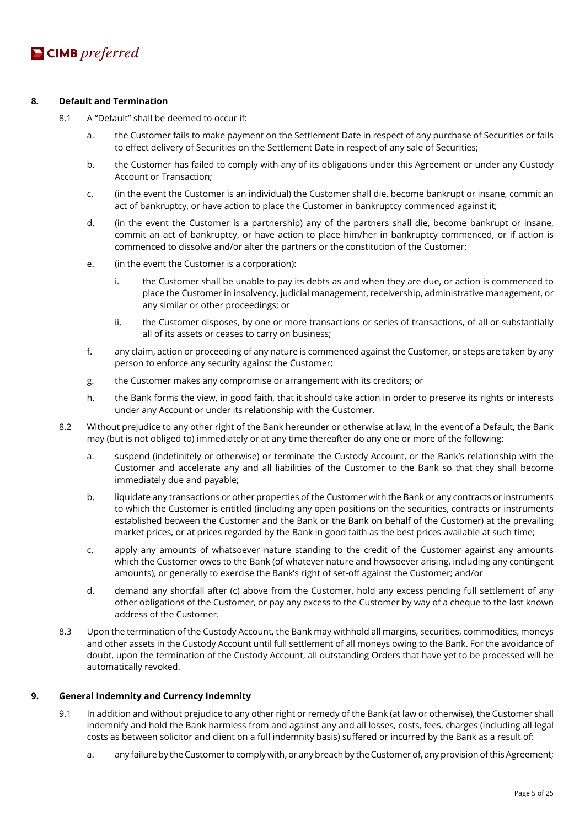### **8. Default and Termination**

- 8.1 A "Default" shall be deemed to occur if:
	- a. the Customer fails to make payment on the Settlement Date in respect of any purchase of Securities or fails to effect delivery of Securities on the Settlement Date in respect of any sale of Securities;
	- b. the Customer has failed to comply with any of its obligations under this Agreement or under any Custody Account or Transaction;
	- c. (in the event the Customer is an individual) the Customer shall die, become bankrupt or insane, commit an act of bankruptcy, or have action to place the Customer in bankruptcy commenced against it;
	- d. (in the event the Customer is a partnership) any of the partners shall die, become bankrupt or insane, commit an act of bankruptcy, or have action to place him/her in bankruptcy commenced, or if action is commenced to dissolve and/or alter the partners or the constitution of the Customer;
	- e. (in the event the Customer is a corporation):
		- i. the Customer shall be unable to pay its debts as and when they are due, or action is commenced to place the Customer in insolvency, judicial management, receivership, administrative management, or any similar or other proceedings; or
		- ii. the Customer disposes, by one or more transactions or series of transactions, of all or substantially all of its assets or ceases to carry on business;
	- f. any claim, action or proceeding of any nature is commenced against the Customer, or steps are taken by any person to enforce any security against the Customer;
	- g. the Customer makes any compromise or arrangement with its creditors; or
	- h. the Bank forms the view, in good faith, that it should take action in order to preserve its rights or interests under any Account or under its relationship with the Customer.
- 8.2 Without prejudice to any other right of the Bank hereunder or otherwise at law, in the event of a Default, the Bank may (but is not obliged to) immediately or at any time thereafter do any one or more of the following:
	- a. suspend (indefinitely or otherwise) or terminate the Custody Account, or the Bank's relationship with the Customer and accelerate any and all liabilities of the Customer to the Bank so that they shall become immediately due and payable;
	- b. liquidate any transactions or other properties of the Customer with the Bank or any contracts or instruments to which the Customer is entitled (including any open positions on the securities, contracts or instruments established between the Customer and the Bank or the Bank on behalf of the Customer) at the prevailing market prices, or at prices regarded by the Bank in good faith as the best prices available at such time;
	- c. apply any amounts of whatsoever nature standing to the credit of the Customer against any amounts which the Customer owes to the Bank (of whatever nature and howsoever arising, including any contingent amounts), or generally to exercise the Bank's right of set-off against the Customer; and/or
	- d. demand any shortfall after (c) above from the Customer, hold any excess pending full settlement of any other obligations of the Customer, or pay any excess to the Customer by way of a cheque to the last known address of the Customer.
- 8.3 Upon the termination of the Custody Account, the Bank may withhold all margins, securities, commodities, moneys and other assets in the Custody Account until full settlement of all moneys owing to the Bank. For the avoidance of doubt, upon the termination of the Custody Account, all outstanding Orders that have yet to be processed will be automatically revoked.

#### **9. General Indemnity and Currency Indemnity**

- 9.1 In addition and without prejudice to any other right or remedy of the Bank (at law or otherwise), the Customer shall indemnify and hold the Bank harmless from and against any and all losses, costs, fees, charges (including all legal costs as between solicitor and client on a full indemnity basis) suffered or incurred by the Bank as a result of:
	- a. any failure by the Customer to comply with, or any breach by the Customer of, any provision of this Agreement;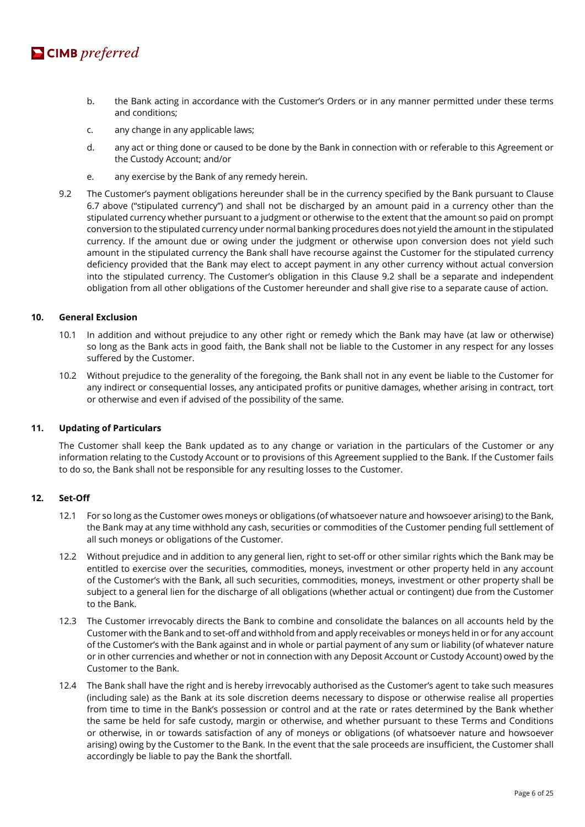

- b. the Bank acting in accordance with the Customer's Orders or in any manner permitted under these terms and conditions;
- c. any change in any applicable laws;
- d. any act or thing done or caused to be done by the Bank in connection with or referable to this Agreement or the Custody Account; and/or
- e. any exercise by the Bank of any remedy herein.
- 9.2 The Customer's payment obligations hereunder shall be in the currency specified by the Bank pursuant to Clause 6.7 above ("stipulated currency") and shall not be discharged by an amount paid in a currency other than the stipulated currency whether pursuant to a judgment or otherwise to the extent that the amount so paid on prompt conversion to the stipulated currency under normal banking procedures does not yield the amount in the stipulated currency. If the amount due or owing under the judgment or otherwise upon conversion does not yield such amount in the stipulated currency the Bank shall have recourse against the Customer for the stipulated currency deficiency provided that the Bank may elect to accept payment in any other currency without actual conversion into the stipulated currency. The Customer's obligation in this Clause 9.2 shall be a separate and independent obligation from all other obligations of the Customer hereunder and shall give rise to a separate cause of action.

#### **10. General Exclusion**

- 10.1 In addition and without prejudice to any other right or remedy which the Bank may have (at law or otherwise) so long as the Bank acts in good faith, the Bank shall not be liable to the Customer in any respect for any losses suffered by the Customer.
- 10.2 Without prejudice to the generality of the foregoing, the Bank shall not in any event be liable to the Customer for any indirect or consequential losses, any anticipated profits or punitive damages, whether arising in contract, tort or otherwise and even if advised of the possibility of the same.

#### **11. Updating of Particulars**

The Customer shall keep the Bank updated as to any change or variation in the particulars of the Customer or any information relating to the Custody Account or to provisions of this Agreement supplied to the Bank. If the Customer fails to do so, the Bank shall not be responsible for any resulting losses to the Customer.

#### **12. Set-Off**

- 12.1 For so long as the Customer owes moneys or obligations (of whatsoever nature and howsoever arising) to the Bank, the Bank may at any time withhold any cash, securities or commodities of the Customer pending full settlement of all such moneys or obligations of the Customer.
- 12.2 Without prejudice and in addition to any general lien, right to set-off or other similar rights which the Bank may be entitled to exercise over the securities, commodities, moneys, investment or other property held in any account of the Customer's with the Bank, all such securities, commodities, moneys, investment or other property shall be subject to a general lien for the discharge of all obligations (whether actual or contingent) due from the Customer to the Bank.
- 12.3 The Customer irrevocably directs the Bank to combine and consolidate the balances on all accounts held by the Customer with the Bank and to set-off and withhold from and apply receivables or moneys held in or for any account of the Customer's with the Bank against and in whole or partial payment of any sum or liability (of whatever nature or in other currencies and whether or not in connection with any Deposit Account or Custody Account) owed by the Customer to the Bank.
- 12.4 The Bank shall have the right and is hereby irrevocably authorised as the Customer's agent to take such measures (including sale) as the Bank at its sole discretion deems necessary to dispose or otherwise realise all properties from time to time in the Bank's possession or control and at the rate or rates determined by the Bank whether the same be held for safe custody, margin or otherwise, and whether pursuant to these Terms and Conditions or otherwise, in or towards satisfaction of any of moneys or obligations (of whatsoever nature and howsoever arising) owing by the Customer to the Bank. In the event that the sale proceeds are insufficient, the Customer shall accordingly be liable to pay the Bank the shortfall.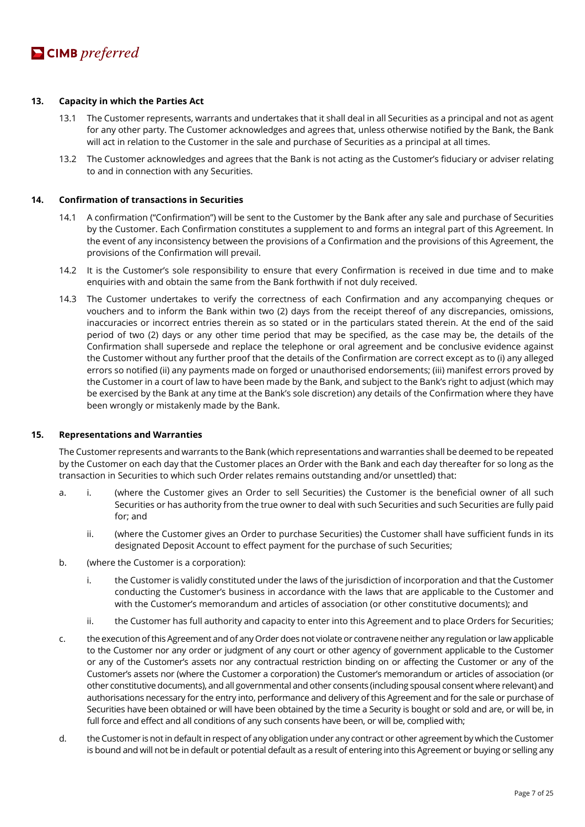#### **13. Capacity in which the Parties Act**

- 13.1 The Customer represents, warrants and undertakes that it shall deal in all Securities as a principal and not as agent for any other party. The Customer acknowledges and agrees that, unless otherwise notified by the Bank, the Bank will act in relation to the Customer in the sale and purchase of Securities as a principal at all times.
- 13.2 The Customer acknowledges and agrees that the Bank is not acting as the Customer's fiduciary or adviser relating to and in connection with any Securities.

#### **14. Confirmation of transactions in Securities**

- 14.1 A confirmation ("Confirmation") will be sent to the Customer by the Bank after any sale and purchase of Securities by the Customer. Each Confirmation constitutes a supplement to and forms an integral part of this Agreement. In the event of any inconsistency between the provisions of a Confirmation and the provisions of this Agreement, the provisions of the Confirmation will prevail.
- 14.2 It is the Customer's sole responsibility to ensure that every Confirmation is received in due time and to make enquiries with and obtain the same from the Bank forthwith if not duly received.
- 14.3 The Customer undertakes to verify the correctness of each Confirmation and any accompanying cheques or vouchers and to inform the Bank within two (2) days from the receipt thereof of any discrepancies, omissions, inaccuracies or incorrect entries therein as so stated or in the particulars stated therein. At the end of the said period of two (2) days or any other time period that may be specified, as the case may be, the details of the Confirmation shall supersede and replace the telephone or oral agreement and be conclusive evidence against the Customer without any further proof that the details of the Confirmation are correct except as to (i) any alleged errors so notified (ii) any payments made on forged or unauthorised endorsements; (iii) manifest errors proved by the Customer in a court of law to have been made by the Bank, and subject to the Bank's right to adjust (which may be exercised by the Bank at any time at the Bank's sole discretion) any details of the Confirmation where they have been wrongly or mistakenly made by the Bank.

#### **15. Representations and Warranties**

The Customer represents and warrants to the Bank (which representations and warranties shall be deemed to be repeated by the Customer on each day that the Customer places an Order with the Bank and each day thereafter for so long as the transaction in Securities to which such Order relates remains outstanding and/or unsettled) that:

- a. i. (where the Customer gives an Order to sell Securities) the Customer is the beneficial owner of all such Securities or has authority from the true owner to deal with such Securities and such Securities are fully paid for; and
	- ii. (where the Customer gives an Order to purchase Securities) the Customer shall have sufficient funds in its designated Deposit Account to effect payment for the purchase of such Securities;
- b. (where the Customer is a corporation):
	- i. the Customer is validly constituted under the laws of the jurisdiction of incorporation and that the Customer conducting the Customer's business in accordance with the laws that are applicable to the Customer and with the Customer's memorandum and articles of association (or other constitutive documents); and
	- ii. the Customer has full authority and capacity to enter into this Agreement and to place Orders for Securities;
- c. the execution of this Agreement and of any Order does not violate or contravene neither any regulation or law applicable to the Customer nor any order or judgment of any court or other agency of government applicable to the Customer or any of the Customer's assets nor any contractual restriction binding on or affecting the Customer or any of the Customer's assets nor (where the Customer a corporation) the Customer's memorandum or articles of association (or other constitutive documents), and all governmental and other consents (including spousal consent where relevant) and authorisations necessary for the entry into, performance and delivery of this Agreement and for the sale or purchase of Securities have been obtained or will have been obtained by the time a Security is bought or sold and are, or will be, in full force and effect and all conditions of any such consents have been, or will be, complied with;
- d. the Customer is not in default in respect of any obligation under any contract or other agreement by which the Customer is bound and will not be in default or potential default as a result of entering into this Agreement or buying or selling any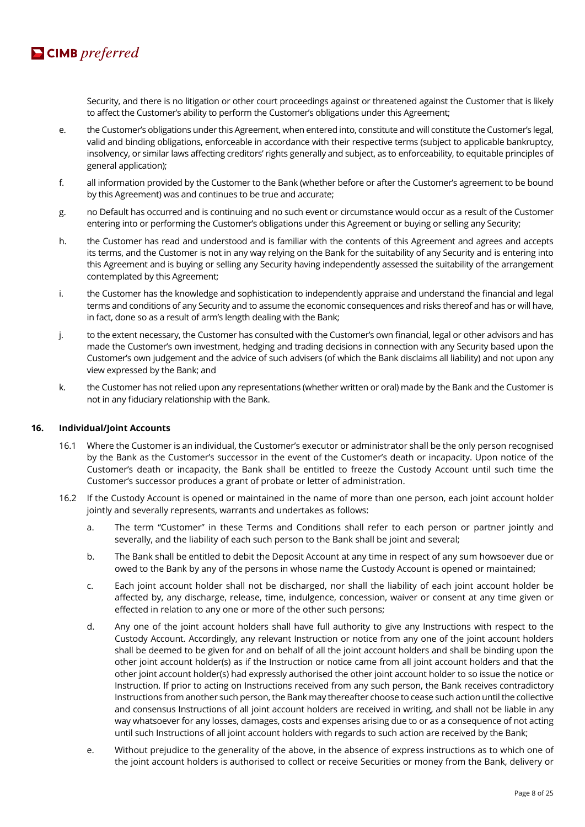

Security, and there is no litigation or other court proceedings against or threatened against the Customer that is likely to affect the Customer's ability to perform the Customer's obligations under this Agreement;

- e. the Customer's obligations under this Agreement, when entered into, constitute and will constitute the Customer's legal, valid and binding obligations, enforceable in accordance with their respective terms (subject to applicable bankruptcy, insolvency, or similar laws affecting creditors' rights generally and subject, as to enforceability, to equitable principles of general application);
- f. all information provided by the Customer to the Bank (whether before or after the Customer's agreement to be bound by this Agreement) was and continues to be true and accurate;
- g. no Default has occurred and is continuing and no such event or circumstance would occur as a result of the Customer entering into or performing the Customer's obligations under this Agreement or buying or selling any Security;
- h. the Customer has read and understood and is familiar with the contents of this Agreement and agrees and accepts its terms, and the Customer is not in any way relying on the Bank for the suitability of any Security and is entering into this Agreement and is buying or selling any Security having independently assessed the suitability of the arrangement contemplated by this Agreement;
- i. the Customer has the knowledge and sophistication to independently appraise and understand the financial and legal terms and conditions of any Security and to assume the economic consequences and risks thereof and has or will have, in fact, done so as a result of arm's length dealing with the Bank;
- j. to the extent necessary, the Customer has consulted with the Customer's own financial, legal or other advisors and has made the Customer's own investment, hedging and trading decisions in connection with any Security based upon the Customer's own judgement and the advice of such advisers (of which the Bank disclaims all liability) and not upon any view expressed by the Bank; and
- k. the Customer has not relied upon any representations (whether written or oral) made by the Bank and the Customer is not in any fiduciary relationship with the Bank.

#### **16. Individual/Joint Accounts**

- 16.1 Where the Customer is an individual, the Customer's executor or administrator shall be the only person recognised by the Bank as the Customer's successor in the event of the Customer's death or incapacity. Upon notice of the Customer's death or incapacity, the Bank shall be entitled to freeze the Custody Account until such time the Customer's successor produces a grant of probate or letter of administration.
- 16.2 If the Custody Account is opened or maintained in the name of more than one person, each joint account holder jointly and severally represents, warrants and undertakes as follows:
	- a. The term "Customer" in these Terms and Conditions shall refer to each person or partner jointly and severally, and the liability of each such person to the Bank shall be joint and several;
	- b. The Bank shall be entitled to debit the Deposit Account at any time in respect of any sum howsoever due or owed to the Bank by any of the persons in whose name the Custody Account is opened or maintained;
	- c. Each joint account holder shall not be discharged, nor shall the liability of each joint account holder be affected by, any discharge, release, time, indulgence, concession, waiver or consent at any time given or effected in relation to any one or more of the other such persons;
	- d. Any one of the joint account holders shall have full authority to give any Instructions with respect to the Custody Account. Accordingly, any relevant Instruction or notice from any one of the joint account holders shall be deemed to be given for and on behalf of all the joint account holders and shall be binding upon the other joint account holder(s) as if the Instruction or notice came from all joint account holders and that the other joint account holder(s) had expressly authorised the other joint account holder to so issue the notice or Instruction. If prior to acting on Instructions received from any such person, the Bank receives contradictory Instructions from another such person, the Bank may thereafter choose to cease such action until the collective and consensus Instructions of all joint account holders are received in writing, and shall not be liable in any way whatsoever for any losses, damages, costs and expenses arising due to or as a consequence of not acting until such Instructions of all joint account holders with regards to such action are received by the Bank;
	- e. Without prejudice to the generality of the above, in the absence of express instructions as to which one of the joint account holders is authorised to collect or receive Securities or money from the Bank, delivery or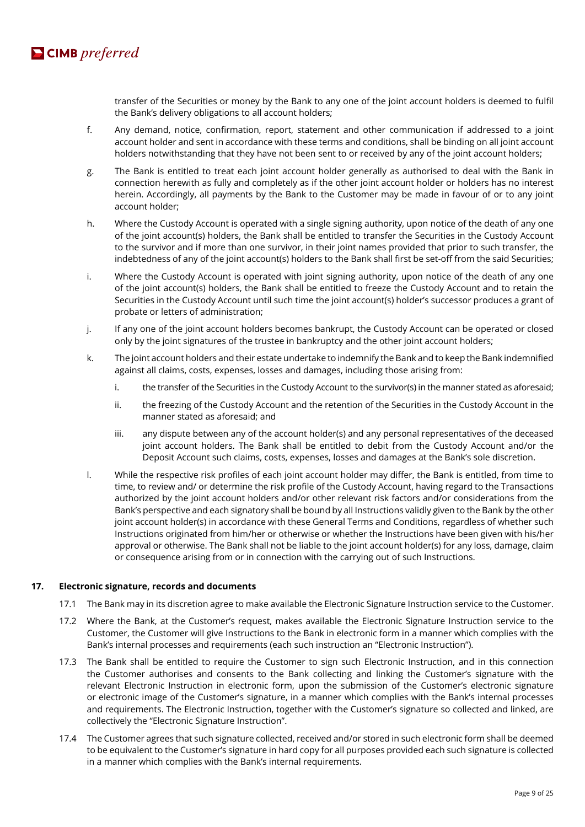

transfer of the Securities or money by the Bank to any one of the joint account holders is deemed to fulfil the Bank's delivery obligations to all account holders;

- f. Any demand, notice, confirmation, report, statement and other communication if addressed to a joint account holder and sent in accordance with these terms and conditions, shall be binding on all joint account holders notwithstanding that they have not been sent to or received by any of the joint account holders;
- g. The Bank is entitled to treat each joint account holder generally as authorised to deal with the Bank in connection herewith as fully and completely as if the other joint account holder or holders has no interest herein. Accordingly, all payments by the Bank to the Customer may be made in favour of or to any joint account holder;
- h. Where the Custody Account is operated with a single signing authority, upon notice of the death of any one of the joint account(s) holders, the Bank shall be entitled to transfer the Securities in the Custody Account to the survivor and if more than one survivor, in their joint names provided that prior to such transfer, the indebtedness of any of the joint account(s) holders to the Bank shall first be set-off from the said Securities;
- i. Where the Custody Account is operated with joint signing authority, upon notice of the death of any one of the joint account(s) holders, the Bank shall be entitled to freeze the Custody Account and to retain the Securities in the Custody Account until such time the joint account(s) holder's successor produces a grant of probate or letters of administration;
- j. If any one of the joint account holders becomes bankrupt, the Custody Account can be operated or closed only by the joint signatures of the trustee in bankruptcy and the other joint account holders;
- k. The joint account holders and their estate undertake to indemnify the Bank and to keep the Bank indemnified against all claims, costs, expenses, losses and damages, including those arising from:
	- i. the transfer of the Securities in the Custody Account to the survivor(s) in the manner stated as aforesaid;
	- ii. the freezing of the Custody Account and the retention of the Securities in the Custody Account in the manner stated as aforesaid; and
	- iii. any dispute between any of the account holder(s) and any personal representatives of the deceased joint account holders. The Bank shall be entitled to debit from the Custody Account and/or the Deposit Account such claims, costs, expenses, losses and damages at the Bank's sole discretion.
- l. While the respective risk profiles of each joint account holder may differ, the Bank is entitled, from time to time, to review and/ or determine the risk profile of the Custody Account, having regard to the Transactions authorized by the joint account holders and/or other relevant risk factors and/or considerations from the Bank's perspective and each signatory shall be bound by all Instructions validly given to the Bank by the other joint account holder(s) in accordance with these General Terms and Conditions, regardless of whether such Instructions originated from him/her or otherwise or whether the Instructions have been given with his/her approval or otherwise. The Bank shall not be liable to the joint account holder(s) for any loss, damage, claim or consequence arising from or in connection with the carrying out of such Instructions.

#### **17. Electronic signature, records and documents**

- 17.1 The Bank may in its discretion agree to make available the Electronic Signature Instruction service to the Customer.
- 17.2 Where the Bank, at the Customer's request, makes available the Electronic Signature Instruction service to the Customer, the Customer will give Instructions to the Bank in electronic form in a manner which complies with the Bank's internal processes and requirements (each such instruction an "Electronic Instruction").
- 17.3 The Bank shall be entitled to require the Customer to sign such Electronic Instruction, and in this connection the Customer authorises and consents to the Bank collecting and linking the Customer's signature with the relevant Electronic Instruction in electronic form, upon the submission of the Customer's electronic signature or electronic image of the Customer's signature, in a manner which complies with the Bank's internal processes and requirements. The Electronic Instruction, together with the Customer's signature so collected and linked, are collectively the "Electronic Signature Instruction".
- 17.4 The Customer agrees that such signature collected, received and/or stored in such electronic form shall be deemed to be equivalent to the Customer's signature in hard copy for all purposes provided each such signature is collected in a manner which complies with the Bank's internal requirements.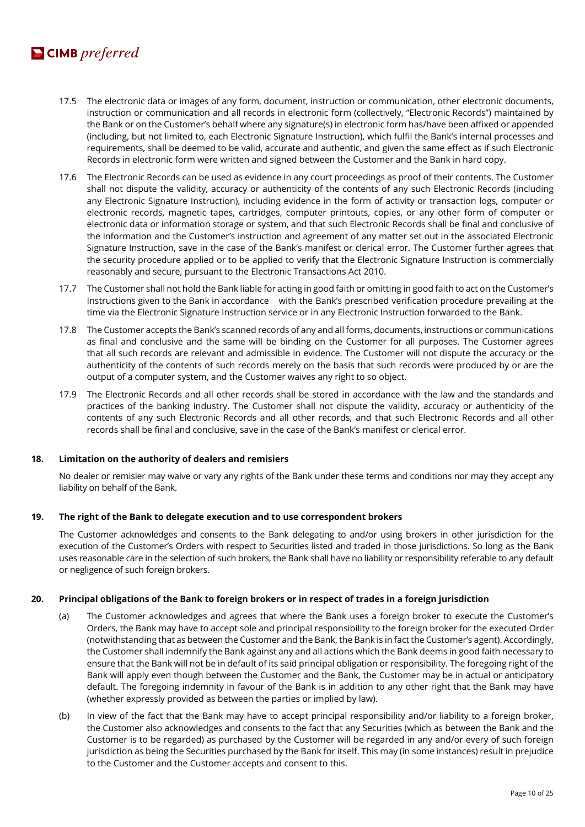# $\blacksquare$  CIMB preferred

- 17.5 The electronic data or images of any form, document, instruction or communication, other electronic documents, instruction or communication and all records in electronic form (collectively, "Electronic Records") maintained by the Bank or on the Customer's behalf where any signature(s) in electronic form has/have been affixed or appended (including, but not limited to, each Electronic Signature Instruction), which fulfil the Bank's internal processes and requirements, shall be deemed to be valid, accurate and authentic, and given the same effect as if such Electronic Records in electronic form were written and signed between the Customer and the Bank in hard copy.
- 17.6 The Electronic Records can be used as evidence in any court proceedings as proof of their contents. The Customer shall not dispute the validity, accuracy or authenticity of the contents of any such Electronic Records (including any Electronic Signature Instruction), including evidence in the form of activity or transaction logs, computer or electronic records, magnetic tapes, cartridges, computer printouts, copies, or any other form of computer or electronic data or information storage or system, and that such Electronic Records shall be final and conclusive of the information and the Customer's instruction and agreement of any matter set out in the associated Electronic Signature Instruction, save in the case of the Bank's manifest or clerical error. The Customer further agrees that the security procedure applied or to be applied to verify that the Electronic Signature Instruction is commercially reasonably and secure, pursuant to the Electronic Transactions Act 2010.
- 17.7 The Customer shall not hold the Bank liable for acting in good faith or omitting in good faith to act on the Customer's Instructions given to the Bank in accordance with the Bank's prescribed verification procedure prevailing at the time via the Electronic Signature Instruction service or in any Electronic Instruction forwarded to the Bank.
- 17.8 The Customer accepts the Bank's scanned records of any and all forms, documents, instructions or communications as final and conclusive and the same will be binding on the Customer for all purposes. The Customer agrees that all such records are relevant and admissible in evidence. The Customer will not dispute the accuracy or the authenticity of the contents of such records merely on the basis that such records were produced by or are the output of a computer system, and the Customer waives any right to so object.
- 17.9 The Electronic Records and all other records shall be stored in accordance with the law and the standards and practices of the banking industry. The Customer shall not dispute the validity, accuracy or authenticity of the contents of any such Electronic Records and all other records, and that such Electronic Records and all other records shall be final and conclusive, save in the case of the Bank's manifest or clerical error.

#### **18. Limitation on the authority of dealers and remisiers**

No dealer or remisier may waive or vary any rights of the Bank under these terms and conditions nor may they accept any liability on behalf of the Bank.

#### **19. The right of the Bank to delegate execution and to use correspondent brokers**

The Customer acknowledges and consents to the Bank delegating to and/or using brokers in other jurisdiction for the execution of the Customer's Orders with respect to Securities listed and traded in those jurisdictions. So long as the Bank uses reasonable care in the selection of such brokers, the Bank shall have no liability or responsibility referable to any default or negligence of such foreign brokers.

#### **20. Principal obligations of the Bank to foreign brokers or in respect of trades in a foreign jurisdiction**

- (a) The Customer acknowledges and agrees that where the Bank uses a foreign broker to execute the Customer's Orders, the Bank may have to accept sole and principal responsibility to the foreign broker for the executed Order (notwithstanding that as between the Customer and the Bank, the Bank is in fact the Customer's agent). Accordingly, the Customer shall indemnify the Bank against any and all actions which the Bank deems in good faith necessary to ensure that the Bank will not be in default of its said principal obligation or responsibility. The foregoing right of the Bank will apply even though between the Customer and the Bank, the Customer may be in actual or anticipatory default. The foregoing indemnity in favour of the Bank is in addition to any other right that the Bank may have (whether expressly provided as between the parties or implied by law).
- (b) In view of the fact that the Bank may have to accept principal responsibility and/or liability to a foreign broker, the Customer also acknowledges and consents to the fact that any Securities (which as between the Bank and the Customer is to be regarded) as purchased by the Customer will be regarded in any and/or every of such foreign jurisdiction as being the Securities purchased by the Bank for itself. This may (in some instances) result in prejudice to the Customer and the Customer accepts and consent to this.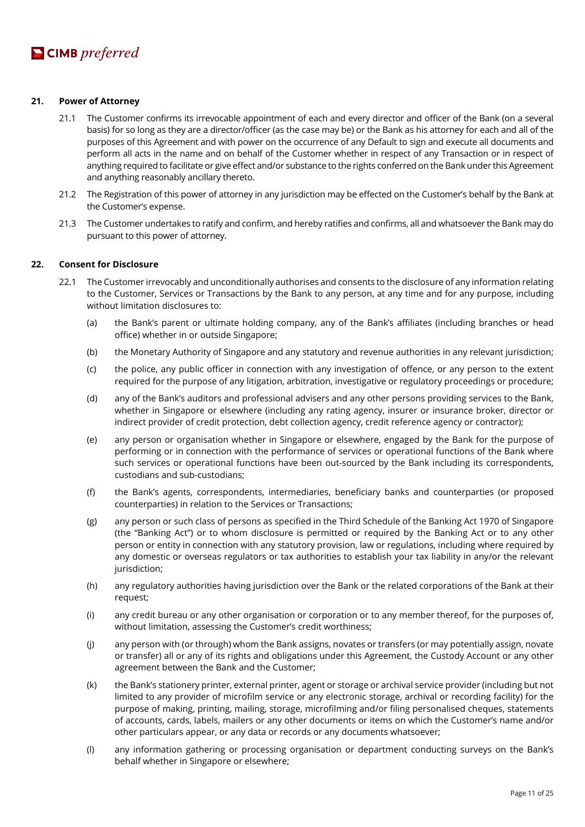#### **21. Power of Attorney**

- 21.1 The Customer confirms its irrevocable appointment of each and every director and officer of the Bank (on a several basis) for so long as they are a director/officer (as the case may be) or the Bank as his attorney for each and all of the purposes of this Agreement and with power on the occurrence of any Default to sign and execute all documents and perform all acts in the name and on behalf of the Customer whether in respect of any Transaction or in respect of anything required to facilitate or give effect and/or substance to the rights conferred on the Bank under this Agreement and anything reasonably ancillary thereto.
- 21.2 The Registration of this power of attorney in any jurisdiction may be effected on the Customer's behalf by the Bank at the Customer's expense.
- 21.3 The Customer undertakes to ratify and confirm, and hereby ratifies and confirms, all and whatsoever the Bank may do pursuant to this power of attorney.

#### **22. Consent for Disclosure**

- 22.1 The Customer irrevocably and unconditionally authorises and consents to the disclosure of any information relating to the Customer, Services or Transactions by the Bank to any person, at any time and for any purpose, including without limitation disclosures to:
	- (a) the Bank's parent or ultimate holding company, any of the Bank's affiliates (including branches or head office) whether in or outside Singapore;
	- (b) the Monetary Authority of Singapore and any statutory and revenue authorities in any relevant jurisdiction;
	- (c) the police, any public officer in connection with any investigation of offence, or any person to the extent required for the purpose of any litigation, arbitration, investigative or regulatory proceedings or procedure;
	- (d) any of the Bank's auditors and professional advisers and any other persons providing services to the Bank, whether in Singapore or elsewhere (including any rating agency, insurer or insurance broker, director or indirect provider of credit protection, debt collection agency, credit reference agency or contractor);
	- (e) any person or organisation whether in Singapore or elsewhere, engaged by the Bank for the purpose of performing or in connection with the performance of services or operational functions of the Bank where such services or operational functions have been out-sourced by the Bank including its correspondents, custodians and sub-custodians;
	- (f) the Bank's agents, correspondents, intermediaries, beneficiary banks and counterparties (or proposed counterparties) in relation to the Services or Transactions;
	- (g) any person or such class of persons as specified in the Third Schedule of the Banking Act 1970 of Singapore (the "Banking Act") or to whom disclosure is permitted or required by the Banking Act or to any other person or entity in connection with any statutory provision, law or regulations, including where required by any domestic or overseas regulators or tax authorities to establish your tax liability in any/or the relevant jurisdiction:
	- (h) any regulatory authorities having jurisdiction over the Bank or the related corporations of the Bank at their request;
	- (i) any credit bureau or any other organisation or corporation or to any member thereof, for the purposes of, without limitation, assessing the Customer's credit worthiness;
	- (j) any person with (or through) whom the Bank assigns, novates or transfers (or may potentially assign, novate or transfer) all or any of its rights and obligations under this Agreement, the Custody Account or any other agreement between the Bank and the Customer;
	- (k) the Bank's stationery printer, external printer, agent or storage or archival service provider (including but not limited to any provider of microfilm service or any electronic storage, archival or recording facility) for the purpose of making, printing, mailing, storage, microfilming and/or filing personalised cheques, statements of accounts, cards, labels, mailers or any other documents or items on which the Customer's name and/or other particulars appear, or any data or records or any documents whatsoever;
	- (l) any information gathering or processing organisation or department conducting surveys on the Bank's behalf whether in Singapore or elsewhere;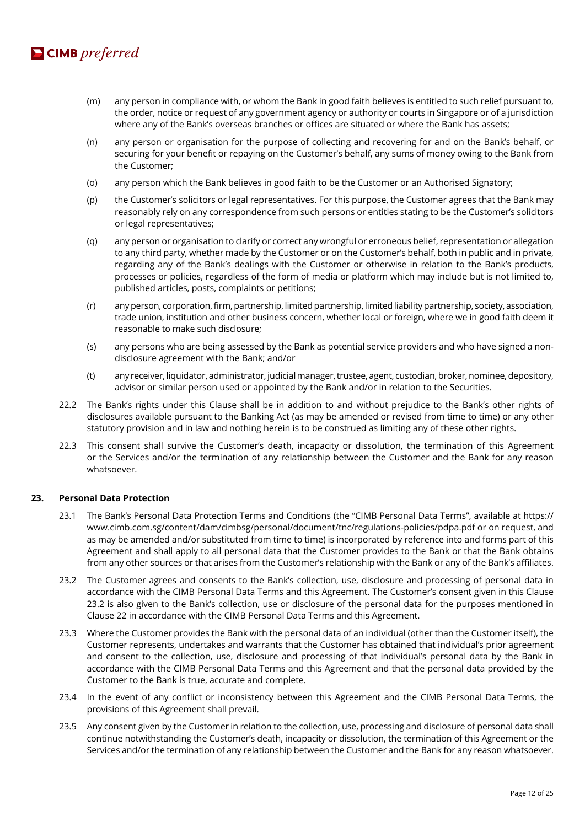

- (m) any person in compliance with, or whom the Bank in good faith believes is entitled to such relief pursuant to, the order, notice or request of any government agency or authority or courts in Singapore or of a jurisdiction where any of the Bank's overseas branches or offices are situated or where the Bank has assets;
- (n) any person or organisation for the purpose of collecting and recovering for and on the Bank's behalf, or securing for your benefit or repaying on the Customer's behalf, any sums of money owing to the Bank from the Customer;
- (o) any person which the Bank believes in good faith to be the Customer or an Authorised Signatory;
- (p) the Customer's solicitors or legal representatives. For this purpose, the Customer agrees that the Bank may reasonably rely on any correspondence from such persons or entities stating to be the Customer's solicitors or legal representatives;
- (q) any person or organisation to clarify or correct any wrongful or erroneous belief, representation or allegation to any third party, whether made by the Customer or on the Customer's behalf, both in public and in private, regarding any of the Bank's dealings with the Customer or otherwise in relation to the Bank's products, processes or policies, regardless of the form of media or platform which may include but is not limited to, published articles, posts, complaints or petitions;
- (r) any person, corporation, firm, partnership, limited partnership, limited liability partnership, society, association, trade union, institution and other business concern, whether local or foreign, where we in good faith deem it reasonable to make such disclosure;
- (s) any persons who are being assessed by the Bank as potential service providers and who have signed a nondisclosure agreement with the Bank; and/or
- (t) any receiver, liquidator, administrator, judicial manager, trustee, agent, custodian, broker, nominee, depository, advisor or similar person used or appointed by the Bank and/or in relation to the Securities.
- 22.2 The Bank's rights under this Clause shall be in addition to and without prejudice to the Bank's other rights of disclosures available pursuant to the Banking Act (as may be amended or revised from time to time) or any other statutory provision and in law and nothing herein is to be construed as limiting any of these other rights.
- 22.3 This consent shall survive the Customer's death, incapacity or dissolution, the termination of this Agreement or the Services and/or the termination of any relationship between the Customer and the Bank for any reason whatsoever.

#### **23. Personal Data Protection**

- 23.1 The Bank's Personal Data Protection Terms and Conditions (the "CIMB Personal Data Terms", available at https:// www.cimb.com.sg/content/dam/cimbsg/personal/document/tnc/regulations-policies/pdpa.pdf or on request, and as may be amended and/or substituted from time to time) is incorporated by reference into and forms part of this Agreement and shall apply to all personal data that the Customer provides to the Bank or that the Bank obtains from any other sources or that arises from the Customer's relationship with the Bank or any of the Bank's affiliates.
- 23.2 The Customer agrees and consents to the Bank's collection, use, disclosure and processing of personal data in accordance with the CIMB Personal Data Terms and this Agreement. The Customer's consent given in this Clause 23.2 is also given to the Bank's collection, use or disclosure of the personal data for the purposes mentioned in Clause 22 in accordance with the CIMB Personal Data Terms and this Agreement.
- 23.3 Where the Customer provides the Bank with the personal data of an individual (other than the Customer itself), the Customer represents, undertakes and warrants that the Customer has obtained that individual's prior agreement and consent to the collection, use, disclosure and processing of that individual's personal data by the Bank in accordance with the CIMB Personal Data Terms and this Agreement and that the personal data provided by the Customer to the Bank is true, accurate and complete.
- 23.4 In the event of any conflict or inconsistency between this Agreement and the CIMB Personal Data Terms, the provisions of this Agreement shall prevail.
- 23.5 Any consent given by the Customer in relation to the collection, use, processing and disclosure of personal data shall continue notwithstanding the Customer's death, incapacity or dissolution, the termination of this Agreement or the Services and/or the termination of any relationship between the Customer and the Bank for any reason whatsoever.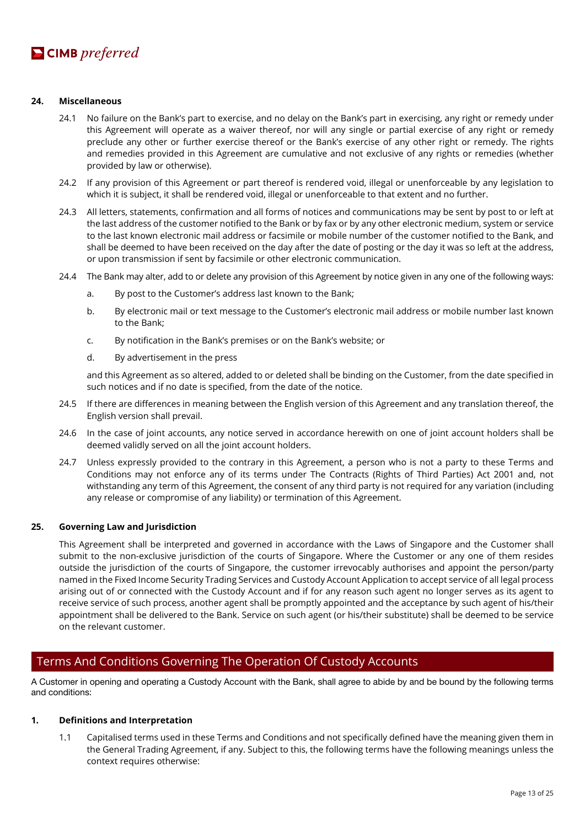

#### **24. Miscellaneous**

- 24.1 No failure on the Bank's part to exercise, and no delay on the Bank's part in exercising, any right or remedy under this Agreement will operate as a waiver thereof, nor will any single or partial exercise of any right or remedy preclude any other or further exercise thereof or the Bank's exercise of any other right or remedy. The rights and remedies provided in this Agreement are cumulative and not exclusive of any rights or remedies (whether provided by law or otherwise).
- 24.2 If any provision of this Agreement or part thereof is rendered void, illegal or unenforceable by any legislation to which it is subject, it shall be rendered void, illegal or unenforceable to that extent and no further.
- 24.3 All letters, statements, confirmation and all forms of notices and communications may be sent by post to or left at the last address of the customer notified to the Bank or by fax or by any other electronic medium, system or service to the last known electronic mail address or facsimile or mobile number of the customer notified to the Bank, and shall be deemed to have been received on the day after the date of posting or the day it was so left at the address, or upon transmission if sent by facsimile or other electronic communication.
- 24.4 The Bank may alter, add to or delete any provision of this Agreement by notice given in any one of the following ways:
	- a. By post to the Customer's address last known to the Bank;
	- b. By electronic mail or text message to the Customer's electronic mail address or mobile number last known to the Bank;
	- c. By notification in the Bank's premises or on the Bank's website; or
	- d. By advertisement in the press

and this Agreement as so altered, added to or deleted shall be binding on the Customer, from the date specified in such notices and if no date is specified, from the date of the notice.

- 24.5 If there are differences in meaning between the English version of this Agreement and any translation thereof, the English version shall prevail.
- 24.6 In the case of joint accounts, any notice served in accordance herewith on one of joint account holders shall be deemed validly served on all the joint account holders.
- 24.7 Unless expressly provided to the contrary in this Agreement, a person who is not a party to these Terms and Conditions may not enforce any of its terms under The Contracts (Rights of Third Parties) Act 2001 and, not withstanding any term of this Agreement, the consent of any third party is not required for any variation (including any release or compromise of any liability) or termination of this Agreement.

#### **25. Governing Law and Jurisdiction**

This Agreement shall be interpreted and governed in accordance with the Laws of Singapore and the Customer shall submit to the non-exclusive jurisdiction of the courts of Singapore. Where the Customer or any one of them resides outside the jurisdiction of the courts of Singapore, the customer irrevocably authorises and appoint the person/party named in the Fixed Income Security Trading Services and Custody Account Application to accept service of all legal process arising out of or connected with the Custody Account and if for any reason such agent no longer serves as its agent to receive service of such process, another agent shall be promptly appointed and the acceptance by such agent of his/their appointment shall be delivered to the Bank. Service on such agent (or his/their substitute) shall be deemed to be service on the relevant customer.

# Terms And Conditions Governing The Operation Of Custody Accounts

A Customer in opening and operating a Custody Account with the Bank, shall agree to abide by and be bound by the following terms and conditions:

#### **1. Definitions and Interpretation**

1.1 Capitalised terms used in these Terms and Conditions and not specifically defined have the meaning given them in the General Trading Agreement, if any. Subject to this, the following terms have the following meanings unless the context requires otherwise: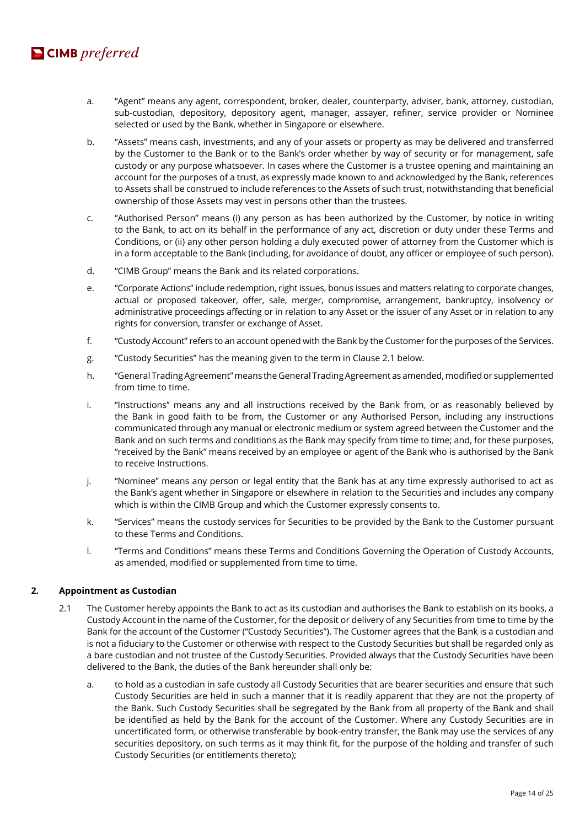# $\blacksquare$  CIMB preferred

- a. "Agent" means any agent, correspondent, broker, dealer, counterparty, adviser, bank, attorney, custodian, sub-custodian, depository, depository agent, manager, assayer, refiner, service provider or Nominee selected or used by the Bank, whether in Singapore or elsewhere.
- b. "Assets" means cash, investments, and any of your assets or property as may be delivered and transferred by the Customer to the Bank or to the Bank's order whether by way of security or for management, safe custody or any purpose whatsoever. In cases where the Customer is a trustee opening and maintaining an account for the purposes of a trust, as expressly made known to and acknowledged by the Bank, references to Assets shall be construed to include references to the Assets of such trust, notwithstanding that beneficial ownership of those Assets may vest in persons other than the trustees.
- c. "Authorised Person" means (i) any person as has been authorized by the Customer, by notice in writing to the Bank, to act on its behalf in the performance of any act, discretion or duty under these Terms and Conditions, or (ii) any other person holding a duly executed power of attorney from the Customer which is in a form acceptable to the Bank (including, for avoidance of doubt, any officer or employee of such person).
- d. "CIMB Group" means the Bank and its related corporations.
- e. "Corporate Actions" include redemption, right issues, bonus issues and matters relating to corporate changes, actual or proposed takeover, offer, sale, merger, compromise, arrangement, bankruptcy, insolvency or administrative proceedings affecting or in relation to any Asset or the issuer of any Asset or in relation to any rights for conversion, transfer or exchange of Asset.
- f. "Custody Account" refers to an account opened with the Bank by the Customer for the purposes of the Services.
- g. "Custody Securities" has the meaning given to the term in Clause 2.1 below.
- h. "General Trading Agreement" means the General Trading Agreement as amended, modified or supplemented from time to time.
- i. "Instructions" means any and all instructions received by the Bank from, or as reasonably believed by the Bank in good faith to be from, the Customer or any Authorised Person, including any instructions communicated through any manual or electronic medium or system agreed between the Customer and the Bank and on such terms and conditions as the Bank may specify from time to time; and, for these purposes, "received by the Bank" means received by an employee or agent of the Bank who is authorised by the Bank to receive Instructions.
- j. "Nominee" means any person or legal entity that the Bank has at any time expressly authorised to act as the Bank's agent whether in Singapore or elsewhere in relation to the Securities and includes any company which is within the CIMB Group and which the Customer expressly consents to.
- k. "Services" means the custody services for Securities to be provided by the Bank to the Customer pursuant to these Terms and Conditions.
- l. "Terms and Conditions" means these Terms and Conditions Governing the Operation of Custody Accounts, as amended, modified or supplemented from time to time.

# **2. Appointment as Custodian**

- 2.1 The Customer hereby appoints the Bank to act as its custodian and authorises the Bank to establish on its books, a Custody Account in the name of the Customer, for the deposit or delivery of any Securities from time to time by the Bank for the account of the Customer ("Custody Securities"). The Customer agrees that the Bank is a custodian and is not a fiduciary to the Customer or otherwise with respect to the Custody Securities but shall be regarded only as a bare custodian and not trustee of the Custody Securities. Provided always that the Custody Securities have been delivered to the Bank, the duties of the Bank hereunder shall only be:
	- a. to hold as a custodian in safe custody all Custody Securities that are bearer securities and ensure that such Custody Securities are held in such a manner that it is readily apparent that they are not the property of the Bank. Such Custody Securities shall be segregated by the Bank from all property of the Bank and shall be identified as held by the Bank for the account of the Customer. Where any Custody Securities are in uncertificated form, or otherwise transferable by book-entry transfer, the Bank may use the services of any securities depository, on such terms as it may think fit, for the purpose of the holding and transfer of such Custody Securities (or entitlements thereto);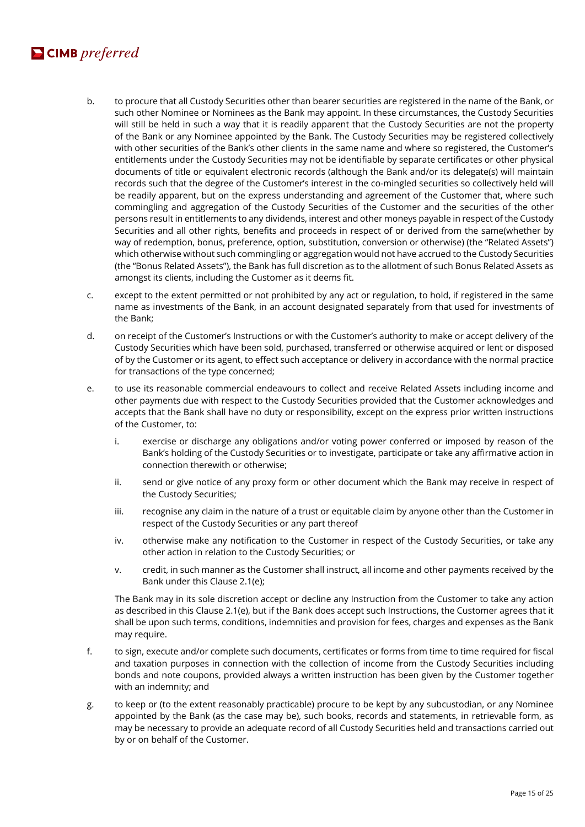# $\blacksquare$  CIMB preferred

- b. to procure that all Custody Securities other than bearer securities are registered in the name of the Bank, or such other Nominee or Nominees as the Bank may appoint. In these circumstances, the Custody Securities will still be held in such a way that it is readily apparent that the Custody Securities are not the property of the Bank or any Nominee appointed by the Bank. The Custody Securities may be registered collectively with other securities of the Bank's other clients in the same name and where so registered, the Customer's entitlements under the Custody Securities may not be identifiable by separate certificates or other physical documents of title or equivalent electronic records (although the Bank and/or its delegate(s) will maintain records such that the degree of the Customer's interest in the co-mingled securities so collectively held will be readily apparent, but on the express understanding and agreement of the Customer that, where such commingling and aggregation of the Custody Securities of the Customer and the securities of the other persons result in entitlements to any dividends, interest and other moneys payable in respect of the Custody Securities and all other rights, benefits and proceeds in respect of or derived from the same(whether by way of redemption, bonus, preference, option, substitution, conversion or otherwise) (the "Related Assets") which otherwise without such commingling or aggregation would not have accrued to the Custody Securities (the "Bonus Related Assets"), the Bank has full discretion as to the allotment of such Bonus Related Assets as amongst its clients, including the Customer as it deems fit.
- c. except to the extent permitted or not prohibited by any act or regulation, to hold, if registered in the same name as investments of the Bank, in an account designated separately from that used for investments of the Bank;
- d. on receipt of the Customer's Instructions or with the Customer's authority to make or accept delivery of the Custody Securities which have been sold, purchased, transferred or otherwise acquired or lent or disposed of by the Customer or its agent, to effect such acceptance or delivery in accordance with the normal practice for transactions of the type concerned;
- e. to use its reasonable commercial endeavours to collect and receive Related Assets including income and other payments due with respect to the Custody Securities provided that the Customer acknowledges and accepts that the Bank shall have no duty or responsibility, except on the express prior written instructions of the Customer, to:
	- i. exercise or discharge any obligations and/or voting power conferred or imposed by reason of the Bank's holding of the Custody Securities or to investigate, participate or take any affirmative action in connection therewith or otherwise;
	- ii. send or give notice of any proxy form or other document which the Bank may receive in respect of the Custody Securities;
	- iii. recognise any claim in the nature of a trust or equitable claim by anyone other than the Customer in respect of the Custody Securities or any part thereof
	- iv. otherwise make any notification to the Customer in respect of the Custody Securities, or take any other action in relation to the Custody Securities; or
	- v. credit, in such manner as the Customer shall instruct, all income and other payments received by the Bank under this Clause 2.1(e);

The Bank may in its sole discretion accept or decline any Instruction from the Customer to take any action as described in this Clause 2.1(e), but if the Bank does accept such Instructions, the Customer agrees that it shall be upon such terms, conditions, indemnities and provision for fees, charges and expenses as the Bank may require.

- f. to sign, execute and/or complete such documents, certificates or forms from time to time required for fiscal and taxation purposes in connection with the collection of income from the Custody Securities including bonds and note coupons, provided always a written instruction has been given by the Customer together with an indemnity; and
- g. to keep or (to the extent reasonably practicable) procure to be kept by any subcustodian, or any Nominee appointed by the Bank (as the case may be), such books, records and statements, in retrievable form, as may be necessary to provide an adequate record of all Custody Securities held and transactions carried out by or on behalf of the Customer.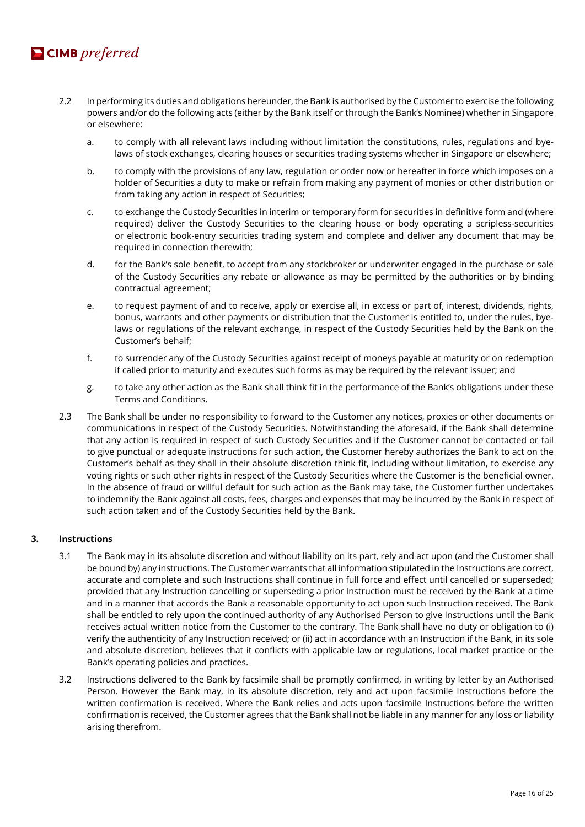

- 2.2 In performing its duties and obligations hereunder, the Bank is authorised by the Customer to exercise the following powers and/or do the following acts (either by the Bank itself or through the Bank's Nominee) whether in Singapore or elsewhere:
	- a. to comply with all relevant laws including without limitation the constitutions, rules, regulations and byelaws of stock exchanges, clearing houses or securities trading systems whether in Singapore or elsewhere;
	- b. to comply with the provisions of any law, regulation or order now or hereafter in force which imposes on a holder of Securities a duty to make or refrain from making any payment of monies or other distribution or from taking any action in respect of Securities;
	- c. to exchange the Custody Securities in interim or temporary form for securities in definitive form and (where required) deliver the Custody Securities to the clearing house or body operating a scripless-securities or electronic book-entry securities trading system and complete and deliver any document that may be required in connection therewith;
	- d. for the Bank's sole benefit, to accept from any stockbroker or underwriter engaged in the purchase or sale of the Custody Securities any rebate or allowance as may be permitted by the authorities or by binding contractual agreement;
	- e. to request payment of and to receive, apply or exercise all, in excess or part of, interest, dividends, rights, bonus, warrants and other payments or distribution that the Customer is entitled to, under the rules, byelaws or regulations of the relevant exchange, in respect of the Custody Securities held by the Bank on the Customer's behalf;
	- f. to surrender any of the Custody Securities against receipt of moneys payable at maturity or on redemption if called prior to maturity and executes such forms as may be required by the relevant issuer; and
	- g. to take any other action as the Bank shall think fit in the performance of the Bank's obligations under these Terms and Conditions.
- 2.3 The Bank shall be under no responsibility to forward to the Customer any notices, proxies or other documents or communications in respect of the Custody Securities. Notwithstanding the aforesaid, if the Bank shall determine that any action is required in respect of such Custody Securities and if the Customer cannot be contacted or fail to give punctual or adequate instructions for such action, the Customer hereby authorizes the Bank to act on the Customer's behalf as they shall in their absolute discretion think fit, including without limitation, to exercise any voting rights or such other rights in respect of the Custody Securities where the Customer is the beneficial owner. In the absence of fraud or willful default for such action as the Bank may take, the Customer further undertakes to indemnify the Bank against all costs, fees, charges and expenses that may be incurred by the Bank in respect of such action taken and of the Custody Securities held by the Bank.

#### **3. Instructions**

- 3.1 The Bank may in its absolute discretion and without liability on its part, rely and act upon (and the Customer shall be bound by) any instructions. The Customer warrants that all information stipulated in the Instructions are correct, accurate and complete and such Instructions shall continue in full force and effect until cancelled or superseded; provided that any Instruction cancelling or superseding a prior Instruction must be received by the Bank at a time and in a manner that accords the Bank a reasonable opportunity to act upon such Instruction received. The Bank shall be entitled to rely upon the continued authority of any Authorised Person to give Instructions until the Bank receives actual written notice from the Customer to the contrary. The Bank shall have no duty or obligation to (i) verify the authenticity of any Instruction received; or (ii) act in accordance with an Instruction if the Bank, in its sole and absolute discretion, believes that it conflicts with applicable law or regulations, local market practice or the Bank's operating policies and practices.
- 3.2 Instructions delivered to the Bank by facsimile shall be promptly confirmed, in writing by letter by an Authorised Person. However the Bank may, in its absolute discretion, rely and act upon facsimile Instructions before the written confirmation is received. Where the Bank relies and acts upon facsimile Instructions before the written confirmation is received, the Customer agrees that the Bank shall not be liable in any manner for any loss or liability arising therefrom.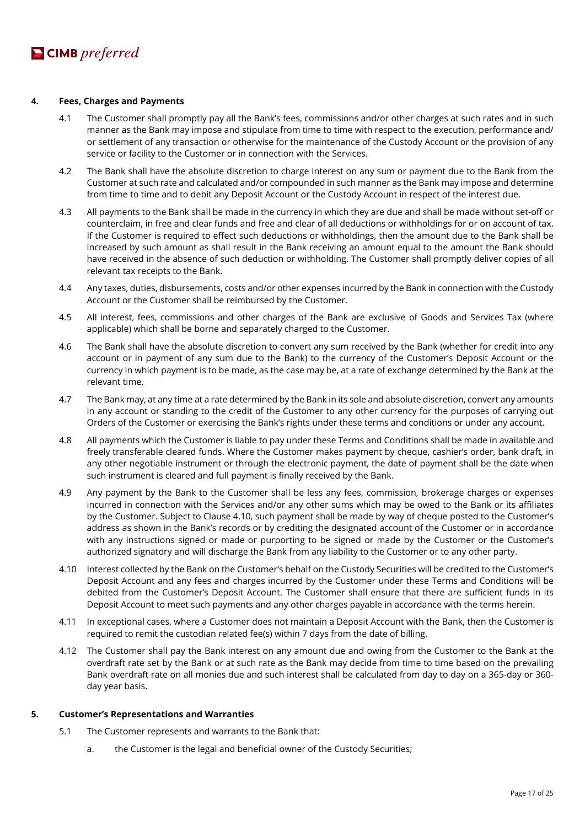# **4. Fees, Charges and Payments**

- 4.1 The Customer shall promptly pay all the Bank's fees, commissions and/or other charges at such rates and in such manner as the Bank may impose and stipulate from time to time with respect to the execution, performance and/ or settlement of any transaction or otherwise for the maintenance of the Custody Account or the provision of any service or facility to the Customer or in connection with the Services.
- 4.2 The Bank shall have the absolute discretion to charge interest on any sum or payment due to the Bank from the Customer at such rate and calculated and/or compounded in such manner as the Bank may impose and determine from time to time and to debit any Deposit Account or the Custody Account in respect of the interest due.
- 4.3 All payments to the Bank shall be made in the currency in which they are due and shall be made without set-off or counterclaim, in free and clear funds and free and clear of all deductions or withholdings for or on account of tax. If the Customer is required to effect such deductions or withholdings, then the amount due to the Bank shall be increased by such amount as shall result in the Bank receiving an amount equal to the amount the Bank should have received in the absence of such deduction or withholding. The Customer shall promptly deliver copies of all relevant tax receipts to the Bank.
- 4.4 Any taxes, duties, disbursements, costs and/or other expenses incurred by the Bank in connection with the Custody Account or the Customer shall be reimbursed by the Customer.
- 4.5 All interest, fees, commissions and other charges of the Bank are exclusive of Goods and Services Tax (where applicable) which shall be borne and separately charged to the Customer.
- 4.6 The Bank shall have the absolute discretion to convert any sum received by the Bank (whether for credit into any account or in payment of any sum due to the Bank) to the currency of the Customer's Deposit Account or the currency in which payment is to be made, as the case may be, at a rate of exchange determined by the Bank at the relevant time.
- 4.7 The Bank may, at any time at a rate determined by the Bank in its sole and absolute discretion, convert any amounts in any account or standing to the credit of the Customer to any other currency for the purposes of carrying out Orders of the Customer or exercising the Bank's rights under these terms and conditions or under any account.
- 4.8 All payments which the Customer is liable to pay under these Terms and Conditions shall be made in available and freely transferable cleared funds. Where the Customer makes payment by cheque, cashier's order, bank draft, in any other negotiable instrument or through the electronic payment, the date of payment shall be the date when such instrument is cleared and full payment is finally received by the Bank.
- 4.9 Any payment by the Bank to the Customer shall be less any fees, commission, brokerage charges or expenses incurred in connection with the Services and/or any other sums which may be owed to the Bank or its affiliates by the Customer. Subject to Clause 4.10, such payment shall be made by way of cheque posted to the Customer's address as shown in the Bank's records or by crediting the designated account of the Customer or in accordance with any instructions signed or made or purporting to be signed or made by the Customer or the Customer's authorized signatory and will discharge the Bank from any liability to the Customer or to any other party.
- 4.10 Interest collected by the Bank on the Customer's behalf on the Custody Securities will be credited to the Customer's Deposit Account and any fees and charges incurred by the Customer under these Terms and Conditions will be debited from the Customer's Deposit Account. The Customer shall ensure that there are sufficient funds in its Deposit Account to meet such payments and any other charges payable in accordance with the terms herein.
- 4.11 In exceptional cases, where a Customer does not maintain a Deposit Account with the Bank, then the Customer is required to remit the custodian related fee(s) within 7 days from the date of billing.
- 4.12 The Customer shall pay the Bank interest on any amount due and owing from the Customer to the Bank at the overdraft rate set by the Bank or at such rate as the Bank may decide from time to time based on the prevailing Bank overdraft rate on all monies due and such interest shall be calculated from day to day on a 365-day or 360 day year basis.

#### **5. Customer's Representations and Warranties**

- 5.1 The Customer represents and warrants to the Bank that:
	- a. the Customer is the legal and beneficial owner of the Custody Securities;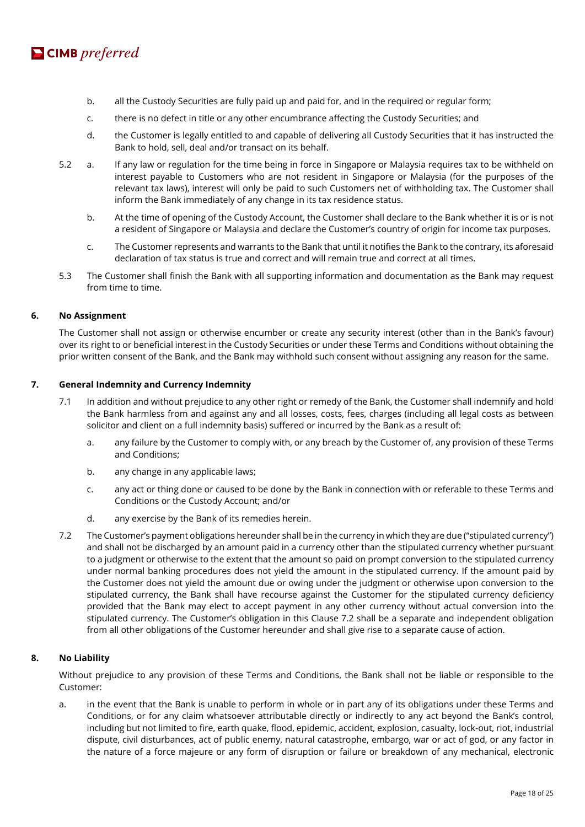

- b. all the Custody Securities are fully paid up and paid for, and in the required or regular form;
- c. there is no defect in title or any other encumbrance affecting the Custody Securities; and
- d. the Customer is legally entitled to and capable of delivering all Custody Securities that it has instructed the Bank to hold, sell, deal and/or transact on its behalf.
- 5.2 a. If any law or regulation for the time being in force in Singapore or Malaysia requires tax to be withheld on interest payable to Customers who are not resident in Singapore or Malaysia (for the purposes of the relevant tax laws), interest will only be paid to such Customers net of withholding tax. The Customer shall inform the Bank immediately of any change in its tax residence status.
	- b. At the time of opening of the Custody Account, the Customer shall declare to the Bank whether it is or is not a resident of Singapore or Malaysia and declare the Customer's country of origin for income tax purposes.
	- c. The Customer represents and warrants to the Bank that until it notifies the Bank to the contrary, its aforesaid declaration of tax status is true and correct and will remain true and correct at all times.
- 5.3 The Customer shall finish the Bank with all supporting information and documentation as the Bank may request from time to time.

#### **6. No Assignment**

The Customer shall not assign or otherwise encumber or create any security interest (other than in the Bank's favour) over its right to or beneficial interest in the Custody Securities or under these Terms and Conditions without obtaining the prior written consent of the Bank, and the Bank may withhold such consent without assigning any reason for the same.

#### **7. General Indemnity and Currency Indemnity**

- 7.1 In addition and without prejudice to any other right or remedy of the Bank, the Customer shall indemnify and hold the Bank harmless from and against any and all losses, costs, fees, charges (including all legal costs as between solicitor and client on a full indemnity basis) suffered or incurred by the Bank as a result of:
	- a. any failure by the Customer to comply with, or any breach by the Customer of, any provision of these Terms and Conditions;
	- b. any change in any applicable laws;
	- c. any act or thing done or caused to be done by the Bank in connection with or referable to these Terms and Conditions or the Custody Account; and/or
	- d. any exercise by the Bank of its remedies herein.
- 7.2 The Customer's payment obligations hereunder shall be in the currency in which they are due ("stipulated currency") and shall not be discharged by an amount paid in a currency other than the stipulated currency whether pursuant to a judgment or otherwise to the extent that the amount so paid on prompt conversion to the stipulated currency under normal banking procedures does not yield the amount in the stipulated currency. If the amount paid by the Customer does not yield the amount due or owing under the judgment or otherwise upon conversion to the stipulated currency, the Bank shall have recourse against the Customer for the stipulated currency deficiency provided that the Bank may elect to accept payment in any other currency without actual conversion into the stipulated currency. The Customer's obligation in this Clause 7.2 shall be a separate and independent obligation from all other obligations of the Customer hereunder and shall give rise to a separate cause of action.

#### **8. No Liability**

Without prejudice to any provision of these Terms and Conditions, the Bank shall not be liable or responsible to the Customer:

a. in the event that the Bank is unable to perform in whole or in part any of its obligations under these Terms and Conditions, or for any claim whatsoever attributable directly or indirectly to any act beyond the Bank's control, including but not limited to fire, earth quake, flood, epidemic, accident, explosion, casualty, lock-out, riot, industrial dispute, civil disturbances, act of public enemy, natural catastrophe, embargo, war or act of god, or any factor in the nature of a force majeure or any form of disruption or failure or breakdown of any mechanical, electronic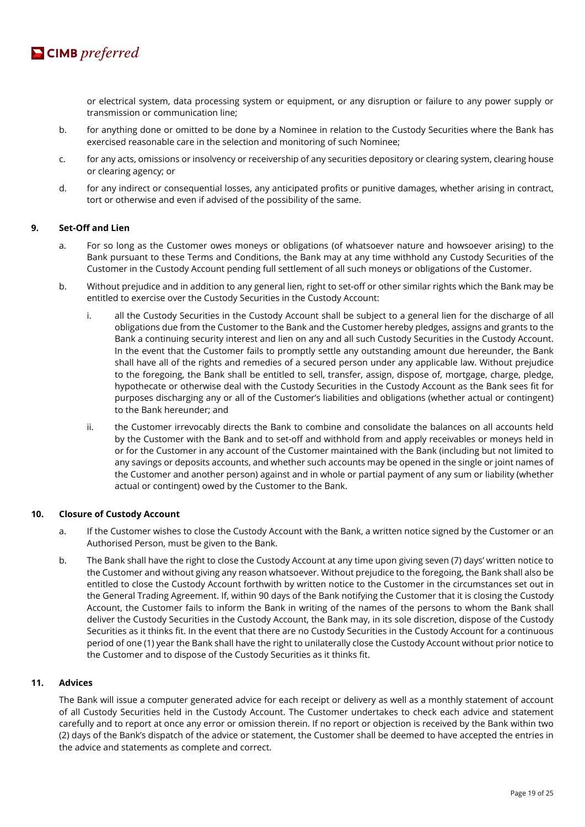

or electrical system, data processing system or equipment, or any disruption or failure to any power supply or transmission or communication line;

- b. for anything done or omitted to be done by a Nominee in relation to the Custody Securities where the Bank has exercised reasonable care in the selection and monitoring of such Nominee;
- c. for any acts, omissions or insolvency or receivership of any securities depository or clearing system, clearing house or clearing agency; or
- d. for any indirect or consequential losses, any anticipated profits or punitive damages, whether arising in contract, tort or otherwise and even if advised of the possibility of the same.

# **9. Set-Off and Lien**

- a. For so long as the Customer owes moneys or obligations (of whatsoever nature and howsoever arising) to the Bank pursuant to these Terms and Conditions, the Bank may at any time withhold any Custody Securities of the Customer in the Custody Account pending full settlement of all such moneys or obligations of the Customer.
- b. Without prejudice and in addition to any general lien, right to set-off or other similar rights which the Bank may be entitled to exercise over the Custody Securities in the Custody Account:
	- i. all the Custody Securities in the Custody Account shall be subject to a general lien for the discharge of all obligations due from the Customer to the Bank and the Customer hereby pledges, assigns and grants to the Bank a continuing security interest and lien on any and all such Custody Securities in the Custody Account. In the event that the Customer fails to promptly settle any outstanding amount due hereunder, the Bank shall have all of the rights and remedies of a secured person under any applicable law. Without prejudice to the foregoing, the Bank shall be entitled to sell, transfer, assign, dispose of, mortgage, charge, pledge, hypothecate or otherwise deal with the Custody Securities in the Custody Account as the Bank sees fit for purposes discharging any or all of the Customer's liabilities and obligations (whether actual or contingent) to the Bank hereunder; and
	- ii. the Customer irrevocably directs the Bank to combine and consolidate the balances on all accounts held by the Customer with the Bank and to set-off and withhold from and apply receivables or moneys held in or for the Customer in any account of the Customer maintained with the Bank (including but not limited to any savings or deposits accounts, and whether such accounts may be opened in the single or joint names of the Customer and another person) against and in whole or partial payment of any sum or liability (whether actual or contingent) owed by the Customer to the Bank.

#### **10. Closure of Custody Account**

- a. If the Customer wishes to close the Custody Account with the Bank, a written notice signed by the Customer or an Authorised Person, must be given to the Bank.
- b. The Bank shall have the right to close the Custody Account at any time upon giving seven (7) days' written notice to the Customer and without giving any reason whatsoever. Without prejudice to the foregoing, the Bank shall also be entitled to close the Custody Account forthwith by written notice to the Customer in the circumstances set out in the General Trading Agreement. If, within 90 days of the Bank notifying the Customer that it is closing the Custody Account, the Customer fails to inform the Bank in writing of the names of the persons to whom the Bank shall deliver the Custody Securities in the Custody Account, the Bank may, in its sole discretion, dispose of the Custody Securities as it thinks fit. In the event that there are no Custody Securities in the Custody Account for a continuous period of one (1) year the Bank shall have the right to unilaterally close the Custody Account without prior notice to the Customer and to dispose of the Custody Securities as it thinks fit.

#### **11. Advices**

The Bank will issue a computer generated advice for each receipt or delivery as well as a monthly statement of account of all Custody Securities held in the Custody Account. The Customer undertakes to check each advice and statement carefully and to report at once any error or omission therein. If no report or objection is received by the Bank within two (2) days of the Bank's dispatch of the advice or statement, the Customer shall be deemed to have accepted the entries in the advice and statements as complete and correct.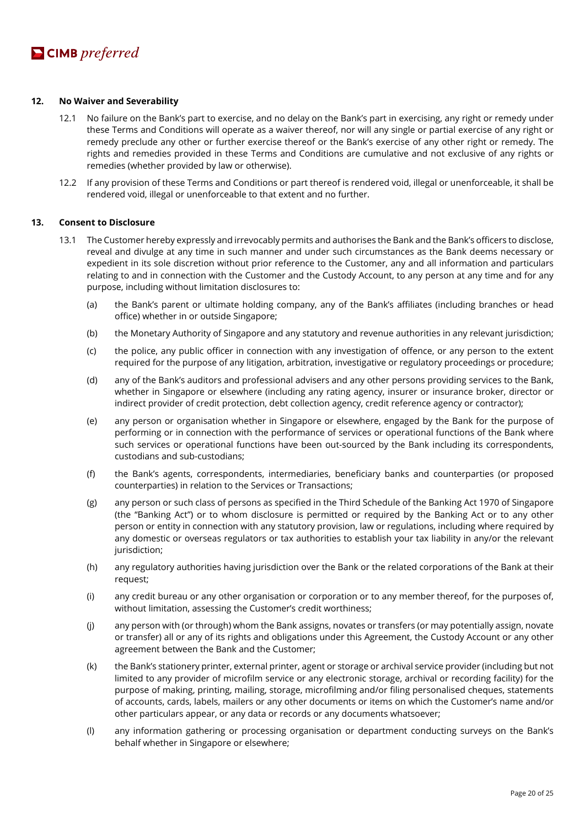#### **12. No Waiver and Severability**

- 12.1 No failure on the Bank's part to exercise, and no delay on the Bank's part in exercising, any right or remedy under these Terms and Conditions will operate as a waiver thereof, nor will any single or partial exercise of any right or remedy preclude any other or further exercise thereof or the Bank's exercise of any other right or remedy. The rights and remedies provided in these Terms and Conditions are cumulative and not exclusive of any rights or remedies (whether provided by law or otherwise).
- 12.2 If any provision of these Terms and Conditions or part thereof is rendered void, illegal or unenforceable, it shall be rendered void, illegal or unenforceable to that extent and no further.

#### **13. Consent to Disclosure**

- 13.1 The Customer hereby expressly and irrevocably permits and authorises the Bank and the Bank's officers to disclose, reveal and divulge at any time in such manner and under such circumstances as the Bank deems necessary or expedient in its sole discretion without prior reference to the Customer, any and all information and particulars relating to and in connection with the Customer and the Custody Account, to any person at any time and for any purpose, including without limitation disclosures to:
	- (a) the Bank's parent or ultimate holding company, any of the Bank's affiliates (including branches or head office) whether in or outside Singapore;
	- (b) the Monetary Authority of Singapore and any statutory and revenue authorities in any relevant jurisdiction;
	- (c) the police, any public officer in connection with any investigation of offence, or any person to the extent required for the purpose of any litigation, arbitration, investigative or regulatory proceedings or procedure;
	- (d) any of the Bank's auditors and professional advisers and any other persons providing services to the Bank, whether in Singapore or elsewhere (including any rating agency, insurer or insurance broker, director or indirect provider of credit protection, debt collection agency, credit reference agency or contractor);
	- (e) any person or organisation whether in Singapore or elsewhere, engaged by the Bank for the purpose of performing or in connection with the performance of services or operational functions of the Bank where such services or operational functions have been out-sourced by the Bank including its correspondents, custodians and sub-custodians;
	- (f) the Bank's agents, correspondents, intermediaries, beneficiary banks and counterparties (or proposed counterparties) in relation to the Services or Transactions;
	- (g) any person or such class of persons as specified in the Third Schedule of the Banking Act 1970 of Singapore (the "Banking Act") or to whom disclosure is permitted or required by the Banking Act or to any other person or entity in connection with any statutory provision, law or regulations, including where required by any domestic or overseas regulators or tax authorities to establish your tax liability in any/or the relevant jurisdiction;
	- (h) any regulatory authorities having jurisdiction over the Bank or the related corporations of the Bank at their request;
	- (i) any credit bureau or any other organisation or corporation or to any member thereof, for the purposes of, without limitation, assessing the Customer's credit worthiness;
	- (j) any person with (or through) whom the Bank assigns, novates or transfers (or may potentially assign, novate or transfer) all or any of its rights and obligations under this Agreement, the Custody Account or any other agreement between the Bank and the Customer;
	- (k) the Bank's stationery printer, external printer, agent or storage or archival service provider (including but not limited to any provider of microfilm service or any electronic storage, archival or recording facility) for the purpose of making, printing, mailing, storage, microfilming and/or filing personalised cheques, statements of accounts, cards, labels, mailers or any other documents or items on which the Customer's name and/or other particulars appear, or any data or records or any documents whatsoever;
	- (l) any information gathering or processing organisation or department conducting surveys on the Bank's behalf whether in Singapore or elsewhere;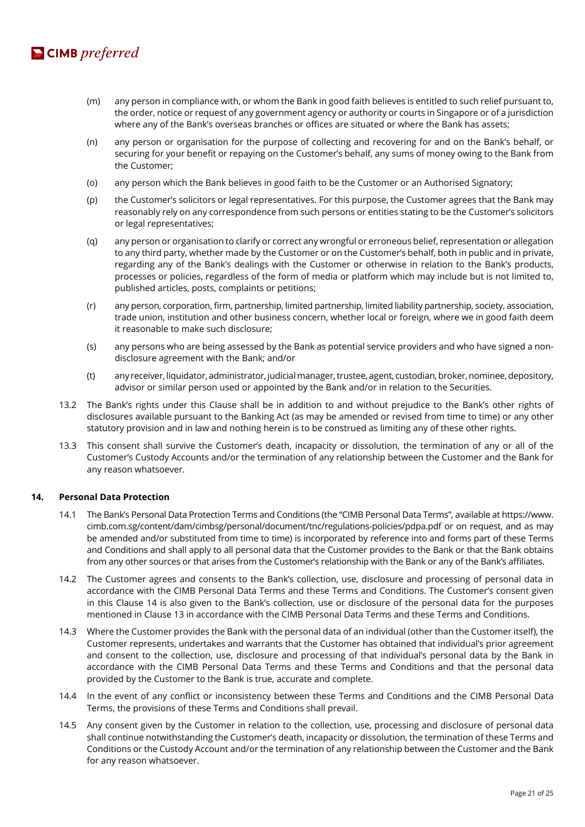

- (m) any person in compliance with, or whom the Bank in good faith believes is entitled to such relief pursuant to, the order, notice or request of any government agency or authority or courts in Singapore or of a jurisdiction where any of the Bank's overseas branches or offices are situated or where the Bank has assets;
- (n) any person or organisation for the purpose of collecting and recovering for and on the Bank's behalf, or securing for your benefit or repaying on the Customer's behalf, any sums of money owing to the Bank from the Customer;
- (o) any person which the Bank believes in good faith to be the Customer or an Authorised Signatory;
- (p) the Customer's solicitors or legal representatives. For this purpose, the Customer agrees that the Bank may reasonably rely on any correspondence from such persons or entities stating to be the Customer's solicitors or legal representatives;
- (q) any person or organisation to clarify or correct any wrongful or erroneous belief, representation or allegation to any third party, whether made by the Customer or on the Customer's behalf, both in public and in private, regarding any of the Bank's dealings with the Customer or otherwise in relation to the Bank's products, processes or policies, regardless of the form of media or platform which may include but is not limited to, published articles, posts, complaints or petitions;
- (r) any person, corporation, firm, partnership, limited partnership, limited liability partnership, society, association, trade union, institution and other business concern, whether local or foreign, where we in good faith deem it reasonable to make such disclosure;
- (s) any persons who are being assessed by the Bank as potential service providers and who have signed a nondisclosure agreement with the Bank; and/or
- (t) any receiver, liquidator, administrator, judicial manager, trustee, agent, custodian, broker, nominee, depository, advisor or similar person used or appointed by the Bank and/or in relation to the Securities.
- 13.2 The Bank's rights under this Clause shall be in addition to and without prejudice to the Bank's other rights of disclosures available pursuant to the Banking Act (as may be amended or revised from time to time) or any other statutory provision and in law and nothing herein is to be construed as limiting any of these other rights.
- 13.3 This consent shall survive the Customer's death, incapacity or dissolution, the termination of any or all of the Customer's Custody Accounts and/or the termination of any relationship between the Customer and the Bank for any reason whatsoever.

#### **14. Personal Data Protection**

- 14.1 The Bank's Personal Data Protection Terms and Conditions (the "CIMB Personal Data Terms", available at https://www. cimb.com.sg/content/dam/cimbsg/personal/document/tnc/regulations-policies/pdpa.pdf or on request, and as may be amended and/or substituted from time to time) is incorporated by reference into and forms part of these Terms and Conditions and shall apply to all personal data that the Customer provides to the Bank or that the Bank obtains from any other sources or that arises from the Customer's relationship with the Bank or any of the Bank's affiliates.
- 14.2 The Customer agrees and consents to the Bank's collection, use, disclosure and processing of personal data in accordance with the CIMB Personal Data Terms and these Terms and Conditions. The Customer's consent given in this Clause 14 is also given to the Bank's collection, use or disclosure of the personal data for the purposes mentioned in Clause 13 in accordance with the CIMB Personal Data Terms and these Terms and Conditions.
- 14.3 Where the Customer provides the Bank with the personal data of an individual (other than the Customer itself), the Customer represents, undertakes and warrants that the Customer has obtained that individual's prior agreement and consent to the collection, use, disclosure and processing of that individual's personal data by the Bank in accordance with the CIMB Personal Data Terms and these Terms and Conditions and that the personal data provided by the Customer to the Bank is true, accurate and complete.
- 14.4 In the event of any conflict or inconsistency between these Terms and Conditions and the CIMB Personal Data Terms, the provisions of these Terms and Conditions shall prevail.
- 14.5 Any consent given by the Customer in relation to the collection, use, processing and disclosure of personal data shall continue notwithstanding the Customer's death, incapacity or dissolution, the termination of these Terms and Conditions or the Custody Account and/or the termination of any relationship between the Customer and the Bank for any reason whatsoever.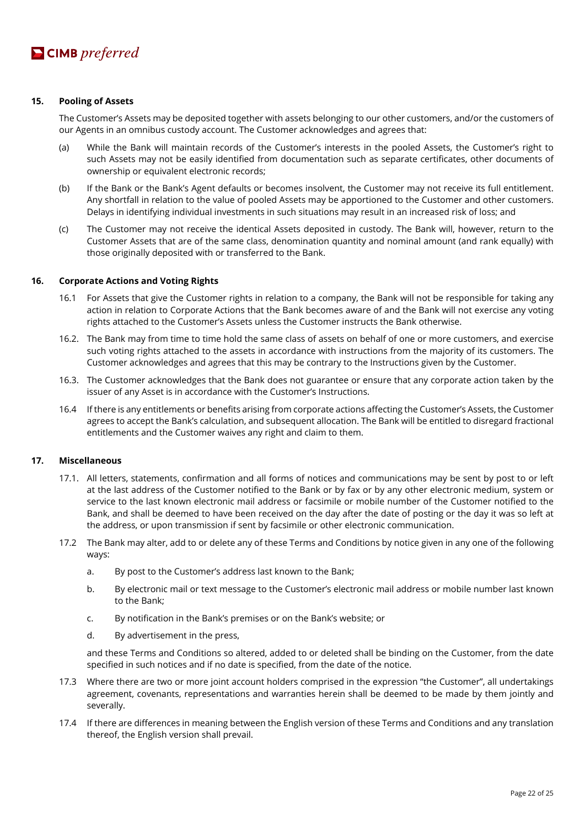### **15. Pooling of Assets**

The Customer's Assets may be deposited together with assets belonging to our other customers, and/or the customers of our Agents in an omnibus custody account. The Customer acknowledges and agrees that:

- (a) While the Bank will maintain records of the Customer's interests in the pooled Assets, the Customer's right to such Assets may not be easily identified from documentation such as separate certificates, other documents of ownership or equivalent electronic records;
- (b) If the Bank or the Bank's Agent defaults or becomes insolvent, the Customer may not receive its full entitlement. Any shortfall in relation to the value of pooled Assets may be apportioned to the Customer and other customers. Delays in identifying individual investments in such situations may result in an increased risk of loss; and
- (c) The Customer may not receive the identical Assets deposited in custody. The Bank will, however, return to the Customer Assets that are of the same class, denomination quantity and nominal amount (and rank equally) with those originally deposited with or transferred to the Bank.

#### **16. Corporate Actions and Voting Rights**

- 16.1 For Assets that give the Customer rights in relation to a company, the Bank will not be responsible for taking any action in relation to Corporate Actions that the Bank becomes aware of and the Bank will not exercise any voting rights attached to the Customer's Assets unless the Customer instructs the Bank otherwise.
- 16.2. The Bank may from time to time hold the same class of assets on behalf of one or more customers, and exercise such voting rights attached to the assets in accordance with instructions from the majority of its customers. The Customer acknowledges and agrees that this may be contrary to the Instructions given by the Customer.
- 16.3. The Customer acknowledges that the Bank does not guarantee or ensure that any corporate action taken by the issuer of any Asset is in accordance with the Customer's Instructions.
- 16.4 If there is any entitlements or benefits arising from corporate actions affecting the Customer's Assets, the Customer agrees to accept the Bank's calculation, and subsequent allocation. The Bank will be entitled to disregard fractional entitlements and the Customer waives any right and claim to them.

#### **17. Miscellaneous**

- 17.1. All letters, statements, confirmation and all forms of notices and communications may be sent by post to or left at the last address of the Customer notified to the Bank or by fax or by any other electronic medium, system or service to the last known electronic mail address or facsimile or mobile number of the Customer notified to the Bank, and shall be deemed to have been received on the day after the date of posting or the day it was so left at the address, or upon transmission if sent by facsimile or other electronic communication.
- 17.2 The Bank may alter, add to or delete any of these Terms and Conditions by notice given in any one of the following ways:
	- a. By post to the Customer's address last known to the Bank;
	- b. By electronic mail or text message to the Customer's electronic mail address or mobile number last known to the Bank;
	- c. By notification in the Bank's premises or on the Bank's website; or
	- d. By advertisement in the press,

and these Terms and Conditions so altered, added to or deleted shall be binding on the Customer, from the date specified in such notices and if no date is specified, from the date of the notice.

- 17.3 Where there are two or more joint account holders comprised in the expression "the Customer", all undertakings agreement, covenants, representations and warranties herein shall be deemed to be made by them jointly and severally.
- 17.4 If there are differences in meaning between the English version of these Terms and Conditions and any translation thereof, the English version shall prevail.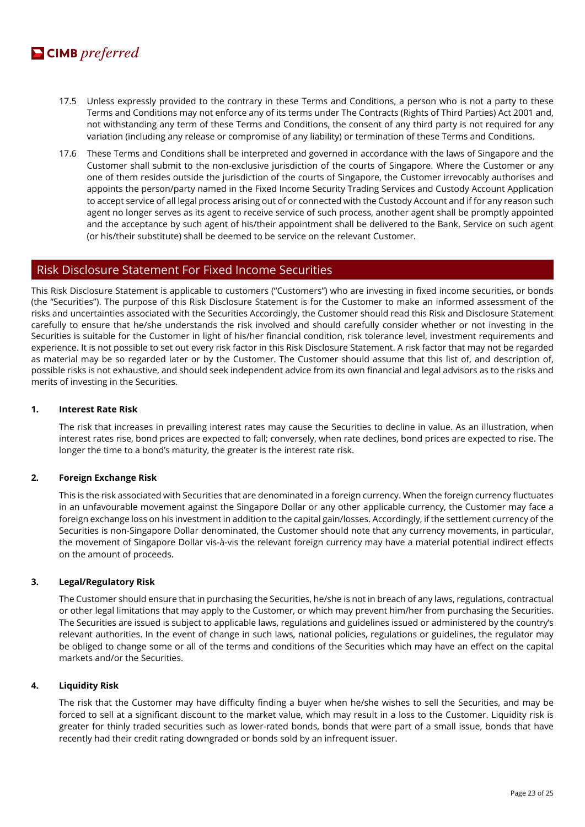

- 17.5 Unless expressly provided to the contrary in these Terms and Conditions, a person who is not a party to these Terms and Conditions may not enforce any of its terms under The Contracts (Rights of Third Parties) Act 2001 and, not withstanding any term of these Terms and Conditions, the consent of any third party is not required for any variation (including any release or compromise of any liability) or termination of these Terms and Conditions.
- 17.6 These Terms and Conditions shall be interpreted and governed in accordance with the laws of Singapore and the Customer shall submit to the non-exclusive jurisdiction of the courts of Singapore. Where the Customer or any one of them resides outside the jurisdiction of the courts of Singapore, the Customer irrevocably authorises and appoints the person/party named in the Fixed Income Security Trading Services and Custody Account Application to accept service of all legal process arising out of or connected with the Custody Account and if for any reason such agent no longer serves as its agent to receive service of such process, another agent shall be promptly appointed and the acceptance by such agent of his/their appointment shall be delivered to the Bank. Service on such agent (or his/their substitute) shall be deemed to be service on the relevant Customer.

# Risk Disclosure Statement For Fixed Income Securities

This Risk Disclosure Statement is applicable to customers ("Customers") who are investing in fixed income securities, or bonds (the "Securities"). The purpose of this Risk Disclosure Statement is for the Customer to make an informed assessment of the risks and uncertainties associated with the Securities Accordingly, the Customer should read this Risk and Disclosure Statement carefully to ensure that he/she understands the risk involved and should carefully consider whether or not investing in the Securities is suitable for the Customer in light of his/her financial condition, risk tolerance level, investment requirements and experience. It is not possible to set out every risk factor in this Risk Disclosure Statement. A risk factor that may not be regarded as material may be so regarded later or by the Customer. The Customer should assume that this list of, and description of, possible risks is not exhaustive, and should seek independent advice from its own financial and legal advisors as to the risks and merits of investing in the Securities.

#### **1. Interest Rate Risk**

The risk that increases in prevailing interest rates may cause the Securities to decline in value. As an illustration, when interest rates rise, bond prices are expected to fall; conversely, when rate declines, bond prices are expected to rise. The longer the time to a bond's maturity, the greater is the interest rate risk.

# **2. Foreign Exchange Risk**

This is the risk associated with Securities that are denominated in a foreign currency. When the foreign currency fluctuates in an unfavourable movement against the Singapore Dollar or any other applicable currency, the Customer may face a foreign exchange loss on his investment in addition to the capital gain/losses. Accordingly, if the settlement currency of the Securities is non-Singapore Dollar denominated, the Customer should note that any currency movements, in particular, the movement of Singapore Dollar vis-à-vis the relevant foreign currency may have a material potential indirect effects on the amount of proceeds.

#### **3. Legal/Regulatory Risk**

The Customer should ensure that in purchasing the Securities, he/she is not in breach of any laws, regulations, contractual or other legal limitations that may apply to the Customer, or which may prevent him/her from purchasing the Securities. The Securities are issued is subject to applicable laws, regulations and guidelines issued or administered by the country's relevant authorities. In the event of change in such laws, national policies, regulations or guidelines, the regulator may be obliged to change some or all of the terms and conditions of the Securities which may have an effect on the capital markets and/or the Securities.

# **4. Liquidity Risk**

The risk that the Customer may have difficulty finding a buyer when he/she wishes to sell the Securities, and may be forced to sell at a significant discount to the market value, which may result in a loss to the Customer. Liquidity risk is greater for thinly traded securities such as lower-rated bonds, bonds that were part of a small issue, bonds that have recently had their credit rating downgraded or bonds sold by an infrequent issuer.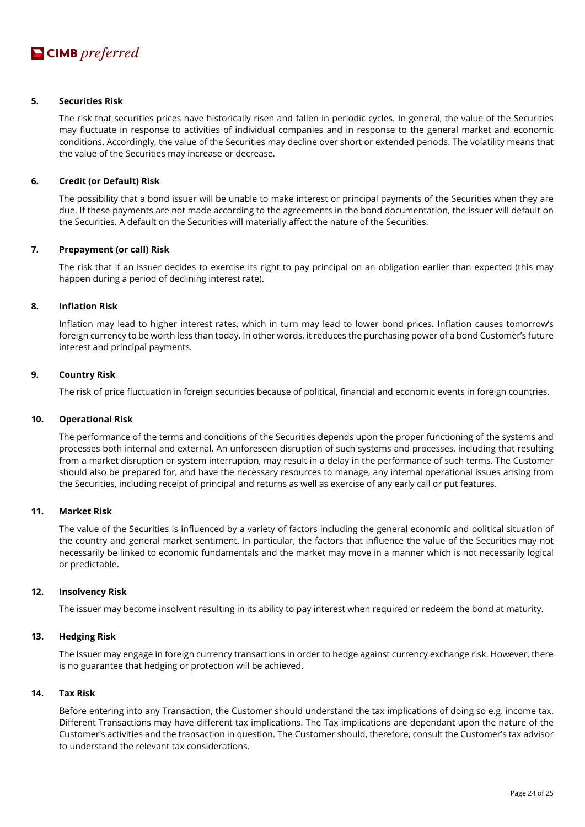# **5. Securities Risk**

The risk that securities prices have historically risen and fallen in periodic cycles. In general, the value of the Securities may fluctuate in response to activities of individual companies and in response to the general market and economic conditions. Accordingly, the value of the Securities may decline over short or extended periods. The volatility means that the value of the Securities may increase or decrease.

#### **6. Credit (or Default) Risk**

The possibility that a bond issuer will be unable to make interest or principal payments of the Securities when they are due. If these payments are not made according to the agreements in the bond documentation, the issuer will default on the Securities. A default on the Securities will materially affect the nature of the Securities.

#### **7. Prepayment (or call) Risk**

The risk that if an issuer decides to exercise its right to pay principal on an obligation earlier than expected (this may happen during a period of declining interest rate).

# **8. Inflation Risk**

Inflation may lead to higher interest rates, which in turn may lead to lower bond prices. Inflation causes tomorrow's foreign currency to be worth less than today. In other words, it reduces the purchasing power of a bond Customer's future interest and principal payments.

# **9. Country Risk**

The risk of price fluctuation in foreign securities because of political, financial and economic events in foreign countries.

#### **10. Operational Risk**

The performance of the terms and conditions of the Securities depends upon the proper functioning of the systems and processes both internal and external. An unforeseen disruption of such systems and processes, including that resulting from a market disruption or system interruption, may result in a delay in the performance of such terms. The Customer should also be prepared for, and have the necessary resources to manage, any internal operational issues arising from the Securities, including receipt of principal and returns as well as exercise of any early call or put features.

# **11. Market Risk**

The value of the Securities is influenced by a variety of factors including the general economic and political situation of the country and general market sentiment. In particular, the factors that influence the value of the Securities may not necessarily be linked to economic fundamentals and the market may move in a manner which is not necessarily logical or predictable.

#### **12. Insolvency Risk**

The issuer may become insolvent resulting in its ability to pay interest when required or redeem the bond at maturity.

#### **13. Hedging Risk**

The Issuer may engage in foreign currency transactions in order to hedge against currency exchange risk. However, there is no guarantee that hedging or protection will be achieved.

# **14. Tax Risk**

Before entering into any Transaction, the Customer should understand the tax implications of doing so e.g. income tax. Different Transactions may have different tax implications. The Tax implications are dependant upon the nature of the Customer's activities and the transaction in question. The Customer should, therefore, consult the Customer's tax advisor to understand the relevant tax considerations.